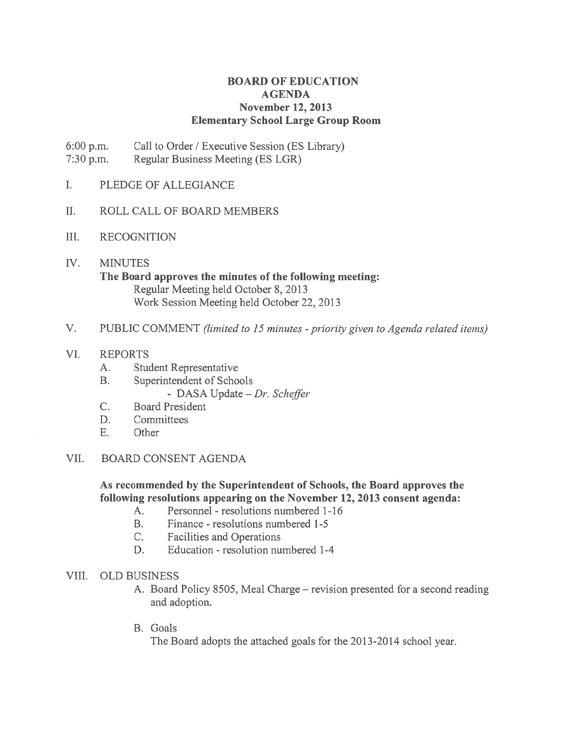# BOARD OF EDUCATION AGENDA November 12, 2013 Elementary School Large Group Room

6:00 p.m. Call to Order / Executive Session (ES Library) 7:30 p.m. Regular Business Meeting (ES LGR)

- I. PLEDGE OF ALLEGIANCE
- II. ROLL CALL OF BOARD MEMBERS
- III. RECOGNITION
- IV. MINUTES The Board approves the minutes of the following meeting: Regular Meeting held October 8, 2013 Work Session Meeting held October 22, 2013
- V. PUBLIC COMMENT (limited to 15 minutes priority given to Agenda related items)
- VI. REPORTS
	- A. Student Representative
	- B. Superintendent of Schools
		- DASA Update Dr. Scheffer
	- C. Board President
	- D. Committees
	- E. Other
- VII. BOARD CONSENT AGENDA

As recommended by the Superintendent of Schools, the Board approves the following resolutions appearing on the November 12, 2013 consent agenda:

- A. Personnel resolutions numbered 1-16
- B. Finance resolutions numbered 1-5
- C. Facilities and Operations
- D. Education resolution numbered 1-4

#### VIII. OLD BUSINESS

- A. Board Policy 8505, Meal Charge revision presented for <sup>a</sup> second reading and adoption.
- B. Goals

The Board adopts the attached goals for the 2013-2014 school year.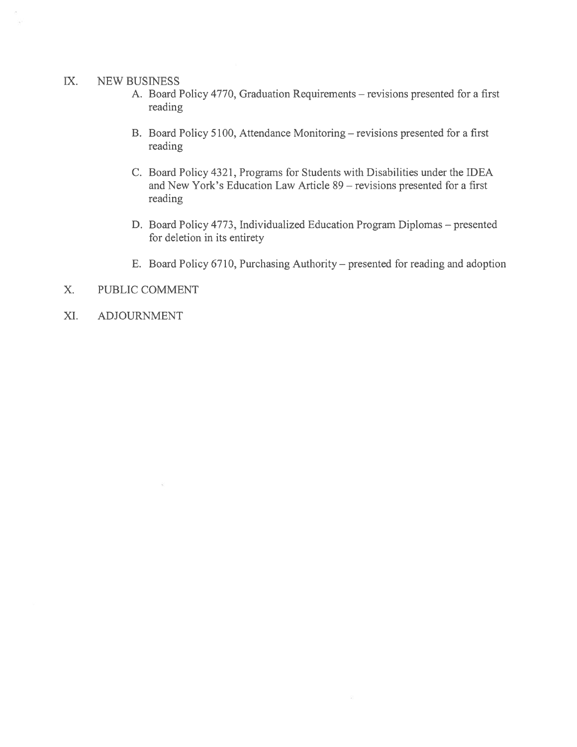#### IX. NEW BUSINESS

- A. Board Policy 4770, Graduation Requirements revisions presented for <sup>a</sup> first reading
- B. Board Policy 5100, Attendance Monitoring revisions presented for <sup>a</sup> first reading
- C. Board Policy 4321, Programs for Students with Disabilities under the IDEA and New York's Education Law Article 89 — revisions presented for <sup>a</sup> first reading
- D. Board Policy 4773, Individualized Education Program Diplomas presented for deletion in its entirety
- E. Board Policy 6710, Purchasing Authority presented for reading and adoption
- X. PUBLIC COMMENT
- XI. ADJOURNMENT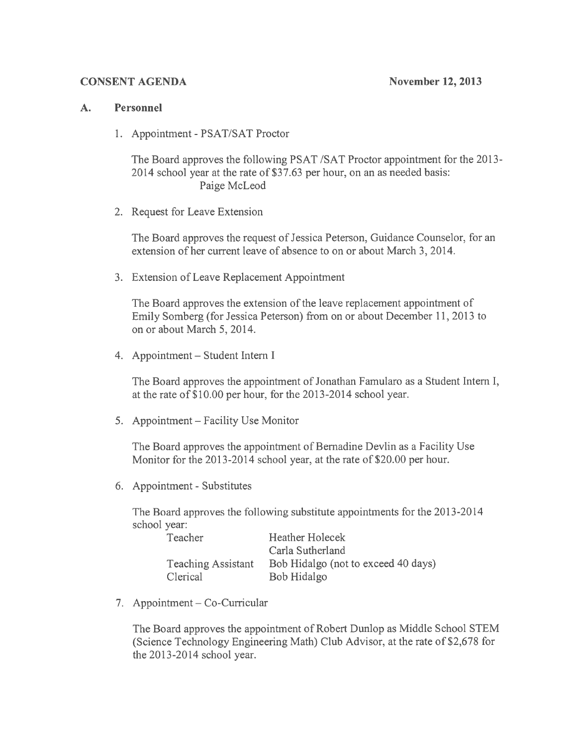### CONSENT AGENDA November 12, 2013

### A. Personnel

1. Appointment - PSAT/SAT Proctor

The Board approves the following PSAT /SAT Proctor appointment for the 2013- 2014 school year at the rate of \$37.63 per hour, on an as needed basis: Paige McLeod

2. Request for Leave Extension

The Board approves the request of Jessica Peterson, Guidance Counselor, for an extension of her current leave of absence to on or about March 3, 2014.

3. Extension of Leave Replacement Appointment

The Board approves the extension of the leave replacement appointment of Emily Somberg (for Jessica Peterson) from on or about December 11, 2013 to on or about March 5, 2014.

4. Appointment — Student Intern I

The Board approves the appointment of Jonathan Famularo as <sup>a</sup> Student Intern I, at the rate of \$10.00 per hour, for the 2013-2014 school year.

5. Appointment — Facility Use Monitor

The Board approves the appointment of Bernadine Devlin as <sup>a</sup> Facility Use Monitor for the 2013-2014 school year, at the rate of S20.00 per hour.

6. Appointment - Substitutes

The Board approves the following substitute appointments for the 2013-2014 school year:

| Teacher                   | <b>Heather Holecek</b>              |
|---------------------------|-------------------------------------|
|                           | Carla Sutherland                    |
| <b>Teaching Assistant</b> | Bob Hidalgo (not to exceed 40 days) |
| Clerical                  | Bob Hidalgo                         |

7. Appointment — Co-Curricular

The Board approves the appointment of Robert Dunlop as Middle School STEM (Science Technology Engineering Math) Club Advisor, at the rate of \$2,678 for the  $2013 - 2014$  school year.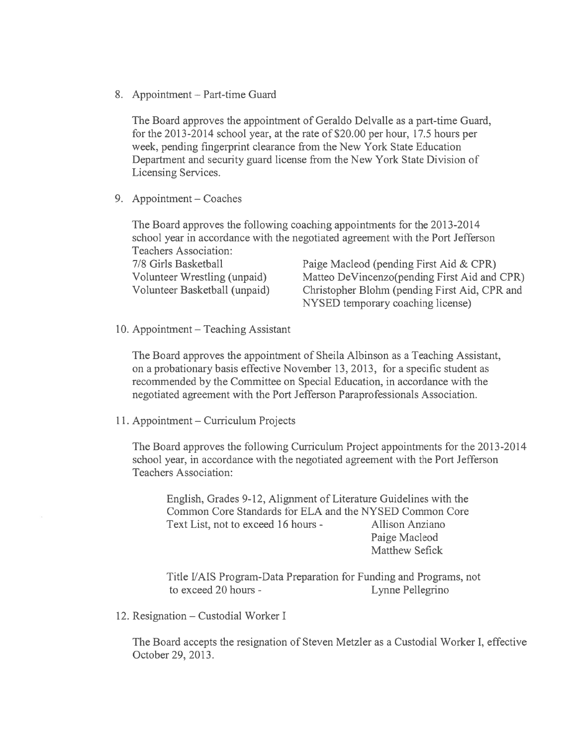8. Appointment — Part-time Guard

The Board approves the appointment of Geraldo Delvalle as <sup>a</sup> part-time Guard, for the 2013-2014 school year, at the rate of \$20.00 per hour, 17.5 hours per week, pending fingerprint clearance from the New York State Education Department and security guard license from the New York State Division of Licensing Services.

9. Appointment — Coaches

The Board approves the following coaching appointments for the 2013-20 14 school year in accordance with the negotiated agreemen<sup>t</sup> with the Port Jefferson Teachers Association:

7/8 Girls Basketball Paige Macleod (pending First Aid & CPR) Volunteer Wrestling (unpaid) Matteo DeVincenzo(pending First Aid and CPR) Volunteer Basketball (unpaid) Christopher Blohm (pending First Aid, CPR and NYSED temporary coaching license)

10. Appointment — Teaching Assistant

The Board approves the appointment of Sheila Albinson as <sup>a</sup> Teaching Assistant, on <sup>a</sup> probationary basis effective November 13, 2013, for <sup>a</sup> specific student as recommended by the Committee on Special Education, in accordance with the negotiated agreemen<sup>t</sup> with the Port Jefferson Paraprofessionals Association.

11. Appointment — Curriculum Projects

The Board approves the following Curriculum Project appointments for the 2013-20 14 school year, in accordance with the negotiated agreemen<sup>t</sup> with the Port Jefferson Teachers Association:

English, Grades 9-12, Alignment of Literature Guidelines with the Common Core Standards for ELA and the NYSED Common Core Text List, not to exceed 16 hours - Allison Anziano Paige Macleod Matthew Sefick

Title 1/AIS Program-Data Preparation for Funding and Programs, not to exceed 20 hours - Lynne Pellegrino

12. Resignation — Custodial Worker I

The Board accepts the resignation of Steven Metzler as <sup>a</sup> Custodial Worker I, effective October 29, 2013.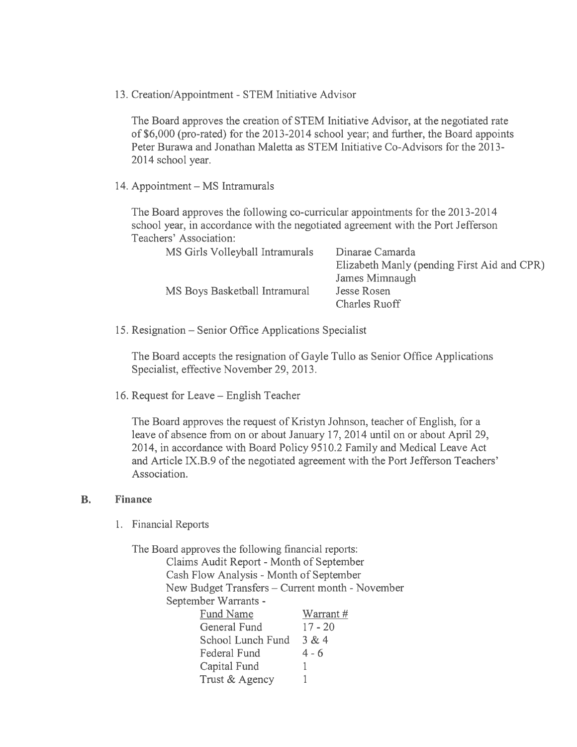13. Creation/Appointment - STEM Initiative Advisor

The Board approves the creation of STEM Initiative Advisor, at the negotiated rate of \$6,000 (pro-rated) for the 2013-2014 school year; and further, the Board appoints Peter Burawa and Jonathan Maletta as STEM Initiative Co-Advisors for the 2013- 2014 school year.

14. Appointment — MS Intramurals

The Board approves the following co-curricular appointments for the 2013-2014 school year, in accordance with the negotiated agreemen<sup>t</sup> with the Port Jefferson Teachers' Association:

| on/Appointment - STEM Initiative Advisor                                                                                                                                                                                                                                                                             |                                                                                                                                                                                                                                             |
|----------------------------------------------------------------------------------------------------------------------------------------------------------------------------------------------------------------------------------------------------------------------------------------------------------------------|---------------------------------------------------------------------------------------------------------------------------------------------------------------------------------------------------------------------------------------------|
| school year.                                                                                                                                                                                                                                                                                                         | oard approves the creation of STEM Initiative Advisor, at the negotiated rate<br>000 (pro-rated) for the 2013-2014 school year; and further, the Board appoints<br>Burawa and Jonathan Maletta as STEM Initiative Co-Advisors for the 2013- |
| ntment - MS Intramurals                                                                                                                                                                                                                                                                                              |                                                                                                                                                                                                                                             |
| oard approves the following co-curricular appointments for the 2013-2014<br>l year, in accordance with the negotiated agreement with the Port Jefferson<br>ers' Association:                                                                                                                                         |                                                                                                                                                                                                                                             |
| MS Girls Volleyball Intramurals                                                                                                                                                                                                                                                                                      | Dinarae Camarda<br>Elizabeth Manly (pending First Aid and CPR)<br>James Mimnaugh                                                                                                                                                            |
| MS Boys Basketball Intramural                                                                                                                                                                                                                                                                                        | <b>Jesse Rosen</b><br><b>Charles Ruoff</b>                                                                                                                                                                                                  |
| nation – Senior Office Applications Specialist                                                                                                                                                                                                                                                                       |                                                                                                                                                                                                                                             |
| oard accepts the resignation of Gayle Tullo as Senior Office Applications<br>alist, effective November 29, 2013.                                                                                                                                                                                                     |                                                                                                                                                                                                                                             |
| est for Leave – English Teacher                                                                                                                                                                                                                                                                                      |                                                                                                                                                                                                                                             |
| oard approves the request of Kristyn Johnson, teacher of English, for a<br>of absence from on or about January 17, 2014 until on or about April 29,<br>in accordance with Board Policy 9510.2 Family and Medical Leave Act<br>rticle IX.B.9 of the negotiated agreement with the Port Jefferson Teachers'<br>iation. |                                                                                                                                                                                                                                             |
| cial Reports                                                                                                                                                                                                                                                                                                         |                                                                                                                                                                                                                                             |
| oard approves the following financial reports:                                                                                                                                                                                                                                                                       |                                                                                                                                                                                                                                             |
| Claims Audit Report - Month of September<br>Cash Flow Analysis - Month of September<br>New Budget Transfers - Current month - November                                                                                                                                                                               |                                                                                                                                                                                                                                             |
| September Warrants -<br>Fund Name<br>Warrant#                                                                                                                                                                                                                                                                        |                                                                                                                                                                                                                                             |

15. Resignation — Senior Office Applications Specialist

The Board accepts the resignation of Gayle Tullo as Senior Office Applications Specialist, effective November 29, 2013.

16. Request for Leave — English Teacher

The Board approves the reques<sup>t</sup> of Kristyn Johnson, teacher of English, for <sup>a</sup> leave of absence from on or about January 17, 2014 until on or about April 29, 2014, in accordance with Board Policy 9510.2 Family and Medical Leave Act and Article IX.B.9 of the negotiated agreement with the Port Jefferson Teachers' Association.

#### B. Finance

1. Financial Reports

The Board approves the following financial reports: Claims Audit Report - Month of September Cash Flow Analysis - Month of September New Budget Transfers - Current month - November September Warrants -

| Fund Name         | Warrant#  |
|-------------------|-----------|
| General Fund      | $17 - 20$ |
| School Lunch Fund | 3 & 4     |
| Federal Fund      | $4 - 6$   |
| Capital Fund      |           |
| Trust & Agency    |           |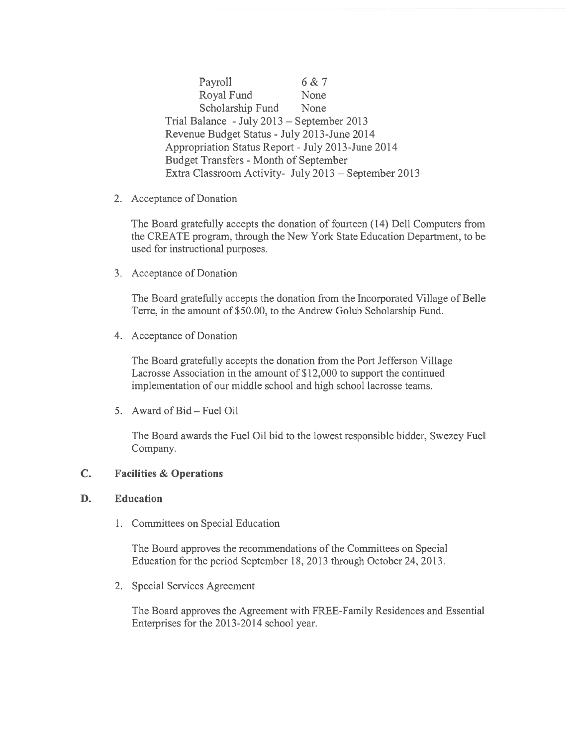Payroll 6 & 7 Royal Fund None Scholarship Fund None Trial Balance -July 2013 — September 2013 Revenue Budget Status - July 2013-June 2014 Appropriation Status Report -July 2013-June 2014 Budget Transfers - Month of September Extra Classroom Activity- July 2013 — September 2013

2. Acceptance of Donation

The Board gratefully accepts the donation of fourteen (14) Dell Computers from the CREATE program, through the New York State Education Department, to be used for instructional purposes.

3. Acceptance of Donation

The Board gratefully accepts the donation from the Incorporated Village of Belle Terre, in the amount of \$50.00, to the Andrew Golub Scholarship Fund.

4. Acceptance of Donation

The Board gratefully accepts the donation from the Port Jefferson Village Lacrosse Association in the amount of \$12,000 to support the continued implementation of our middle school and high school lacrosse teams.

5. Award of Bid — Fuel Oil

The Board awards the Fuel Oil bid to the lowest responsible bidder, Swezey Fuel Company.

# C. Facilities & Operations

# D. Education

1. Committees on Special Education

The Board approves the recommendations of the Committees on Special Education for the period September 18, 2013 through October 24, 2013.

2. Special Services Agreement

The Board approves the Agreement with FREE-Family Residences and Essential Enterprises for the 2013-2014 school year.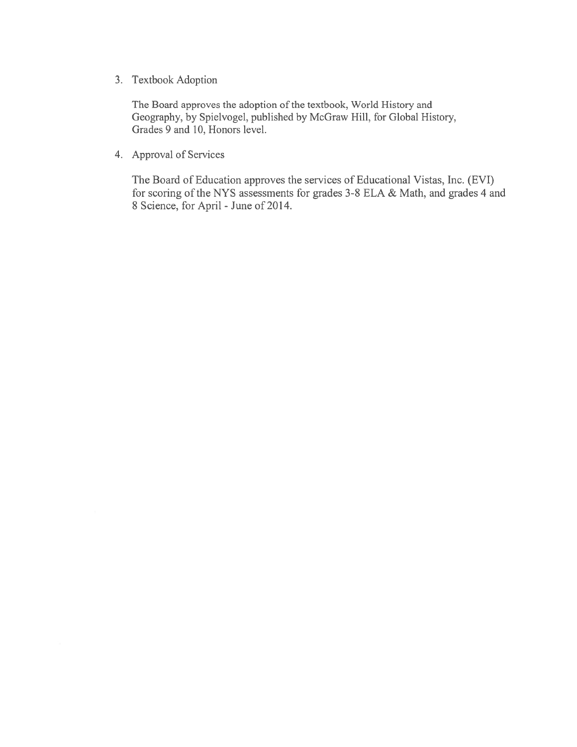3. Textbook Adoption

The Board approves the adoption of the textbook, World History and Geography, by Spielvogel, published by McGraw Hill, for Global History, Grades 9 and 10, Honors level.

4. Approval of Services

The Board of Education approves the services of Educational Vistas, Inc. (EVI) for scoring of the NYS assessments for grades 3-8 ELA & Math, and grades 4 and 8 Science, for April -June of 2014.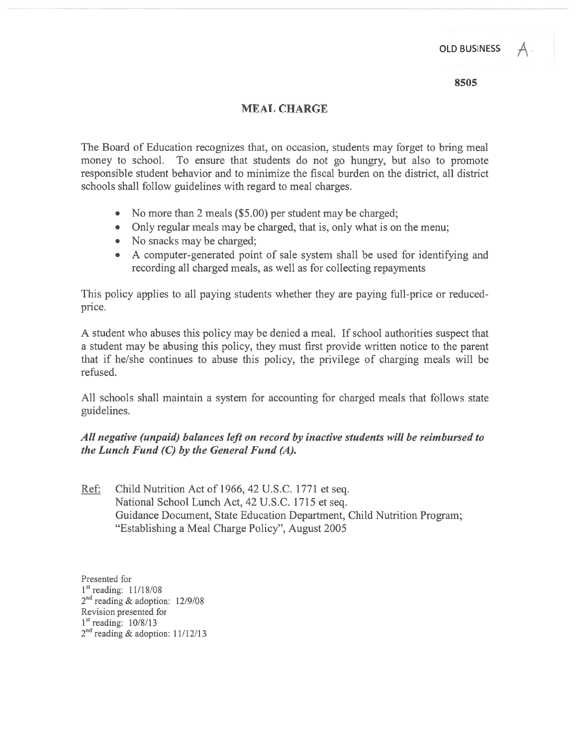**OLD BUSINESS** 

8505

# MEAL CHARGE

The Board of Education recognizes that, on occasion, students may forget to bring meal money to school. To ensure that students do not go hungry, but also to promote responsible student behavior and to minimize the fiscal burden on the district, all district schools shall follow guidelines with regard to meal charges.

- No more than 2 meals (\$5.00) per student may be charged
- Only regular meals may be charged, that is, only what is on the menu;
- No snacks may be charged;
- A computer-generated point of sale system shall be used for identifying and recording all charged meals, as well as for collecting repayments

This policy applies to all paying students whether they are paying full-price or reducedprice.

A student who abuses this policy may be denied <sup>a</sup> meal. If school authorities suspec<sup>t</sup> that <sup>a</sup> student may be abusing this policy, they must first provide written notice to the paren<sup>t</sup> that if he/she continues to abuse this policy, the privilege of charging meals will be refused.

All schools shall maintain <sup>a</sup> system for accounting for charged meals that follows state guidelines.

# All negative (unpaid) balances left on record by inactive students will be reimbursed to the Lunch Fund  $(C)$  by the General Fund  $(A)$ .

Ref. Child Nutrition Act of 1966, 42 U.S.C. 1771 et seq. National School Lunch Act, 42 U.S.C. 1715 et seq. Guidance Document, State Education Department, Child Nutrition Program; "Establishing <sup>a</sup> Meal Charge Policy", August 2005

Presented for 1<sup>st</sup> reading: 11/18/08 2<sup>nd</sup> reading & adoption: 12/9/08 Revision presented for  $1<sup>st</sup>$  reading:  $10/8/13$  $2<sup>nd</sup>$  reading & adoption: 11/12/13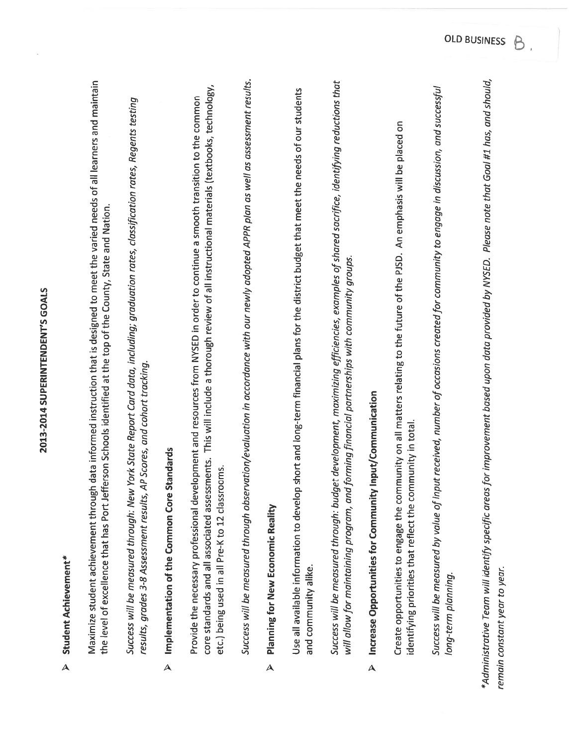| $\blacktriangle$        | Student Achievement*                                                                                                                                                                                                                                                                                                               |
|-------------------------|------------------------------------------------------------------------------------------------------------------------------------------------------------------------------------------------------------------------------------------------------------------------------------------------------------------------------------|
|                         | Maximize student achievement through data informed instruction that is designed to meet the varied needs of all learners and maintain<br>the level of excellence that has Port Jefferson Schools identified at the top of the County, State and Nation.                                                                            |
|                         | Success will be measured through: New York State Report Card data, including; graduation rates, classification rates, Regents testing<br>AP Scores, and cohort tracking.<br>results, grades 3-8 Assessment results,                                                                                                                |
| $\Delta$                | Standards<br>Implementation of the Common Core                                                                                                                                                                                                                                                                                     |
|                         | core standards and all associated assessments. This will include a thorough review of all instructional materials (textbooks, technology,<br>Provide the necessary professional development and resources from NYSED in order to continue a smooth transition to the common<br>rooms.<br>etc.) being used in all Pre-K to 12 class |
|                         | Success will be measured through observation/evaluation in accordance with our newly adopted APPR plan as well as assessment results.                                                                                                                                                                                              |
| $\overline{\mathsf{A}}$ | <b>Planning for New Economic Reality</b>                                                                                                                                                                                                                                                                                           |
|                         | pp short and long-term financial plans for the district budget that meet the needs of our students<br>Use all available information to develo<br>and community alike.                                                                                                                                                              |
|                         | Success will be measured through: budget development, maximizing efficiencies, examples of shared sacrifice, identifying reductions that<br>will allow for maintaining program, and forming financial partnerships with community groups.                                                                                          |
| $\overline{\mathsf{A}}$ | Increase Opportunities for Community Input/Communication                                                                                                                                                                                                                                                                           |
|                         | Create opportunities to engage the community on all matters relating to the future of the PJSD. An emphasis will be placed on<br>identifying priorities that reflect the community in total.                                                                                                                                       |
|                         | Success will be measured by value of input received, number of occasions created for community to engage in discussion, and successful<br>long-term planning.                                                                                                                                                                      |
|                         | *Administrative Team will identify specific areas for improvement based upon data provided by NYSED. Please note that Goal #1 has, and should,<br>remain constant year to year.                                                                                                                                                    |

 $V_{\rm d}^{\rm cr}$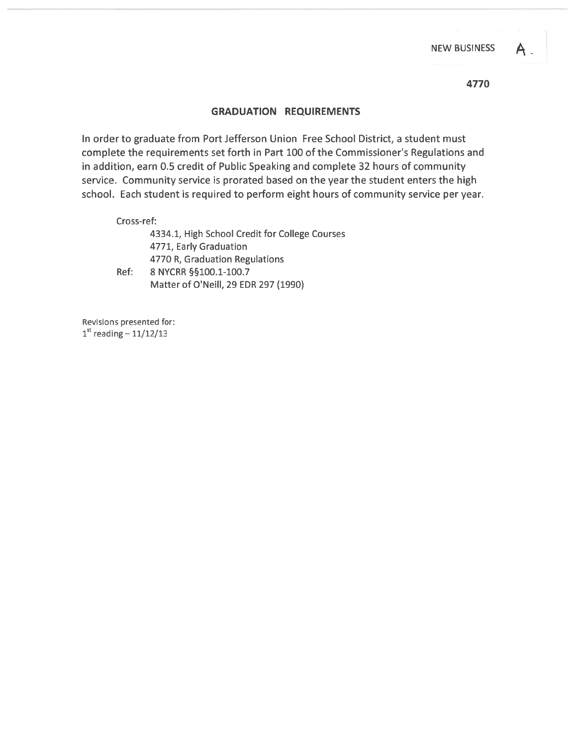### GRADUATION REQUIREMENTS

In order to graduate from Port Jefferson Union Free School District, <sup>a</sup> student must complete the requirements set forth in Part 100 of the Commissioner's Regulations and in addition, earn 0.5 credit of Public Speaking and complete 32 hours of community service. Community service is prorated based on the year the student enters the high school. Each student is required to perform eight hours of community service per year.

Cross-ref:

4334.1, High School Credit for College Courses 4771, Early Graduation 4770 R, Graduation Regulations Ref: 8 NYCRR §§100.1-100.7

Matter of O'Neill, 29 EDR 297 (1990)

Revisions presented for:  $1^{\text{st}}$  reading  $-11/12/13$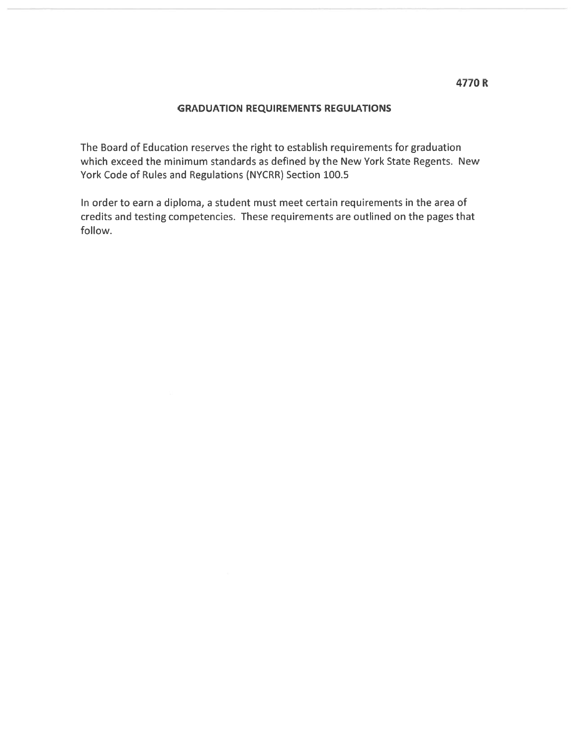## GRADUATION REQUIREMENTS REGULATIONS

The Board of Education reserves the right to establish requirements for graduation which exceed the minimum standards as defined by the New York State Regents. New York Code of Rules and Regulations (NYCRR) Section 100.5

In order to earn <sup>a</sup> diploma, <sup>a</sup> student must meet certain requirements in the area of credits and testing competencies. These requirements are outlined on the pages that follow.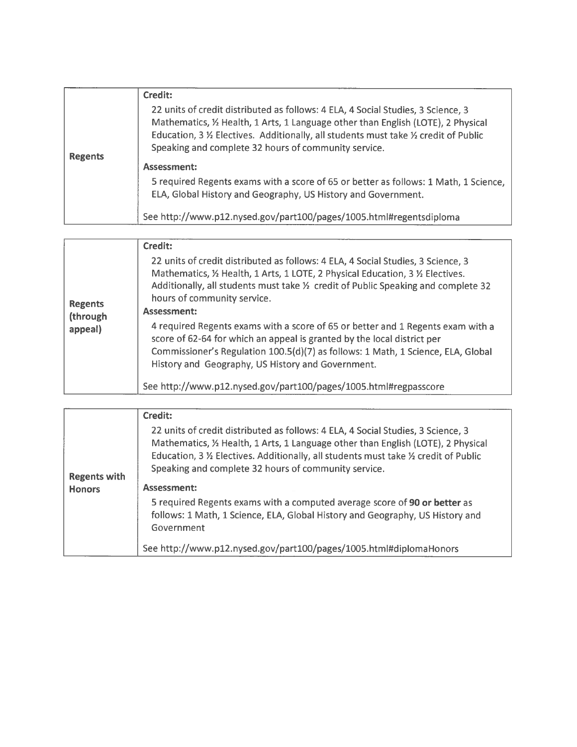|                | Credit:                                                                                                                                                                                                                                                                                                            |  |
|----------------|--------------------------------------------------------------------------------------------------------------------------------------------------------------------------------------------------------------------------------------------------------------------------------------------------------------------|--|
| <b>Regents</b> | 22 units of credit distributed as follows: 4 ELA, 4 Social Studies, 3 Science, 3<br>Mathematics, 1/2 Health, 1 Arts, 1 Language other than English (LOTE), 2 Physical<br>Education, 3 % Electives. Additionally, all students must take % credit of Public<br>Speaking and complete 32 hours of community service. |  |
|                | Assessment:                                                                                                                                                                                                                                                                                                        |  |
|                | 5 required Regents exams with a score of 65 or better as follows: 1 Math, 1 Science,<br>ELA, Global History and Geography, US History and Government.                                                                                                                                                              |  |
|                | See http://www.p12.nysed.gov/part100/pages/1005.html#regentsdiploma                                                                                                                                                                                                                                                |  |

|                                       | Credit:                                                                                                                                                                                                                                                                                                                                                                                                                                                                                                                                                                                                        |
|---------------------------------------|----------------------------------------------------------------------------------------------------------------------------------------------------------------------------------------------------------------------------------------------------------------------------------------------------------------------------------------------------------------------------------------------------------------------------------------------------------------------------------------------------------------------------------------------------------------------------------------------------------------|
| <b>Regents</b><br>(through<br>appeal) | 22 units of credit distributed as follows: 4 ELA, 4 Social Studies, 3 Science, 3<br>Mathematics, 1/2 Health, 1 Arts, 1 LOTE, 2 Physical Education, 3 1/2 Electives.<br>Additionally, all students must take 1/2 credit of Public Speaking and complete 32<br>hours of community service.<br>Assessment:<br>4 required Regents exams with a score of 65 or better and 1 Regents exam with a<br>score of 62-64 for which an appeal is granted by the local district per<br>Commissioner's Regulation 100.5(d)(7) as follows: 1 Math, 1 Science, ELA, Global<br>History and Geography, US History and Government. |
|                                       | See http://www.p12.nysed.gov/part100/pages/1005.html#regpasscore                                                                                                                                                                                                                                                                                                                                                                                                                                                                                                                                               |

|                     | Credit:                                                                                                                                                                                                                                                                                                            |
|---------------------|--------------------------------------------------------------------------------------------------------------------------------------------------------------------------------------------------------------------------------------------------------------------------------------------------------------------|
| <b>Regents with</b> | 22 units of credit distributed as follows: 4 ELA, 4 Social Studies, 3 Science, 3<br>Mathematics, 1/2 Health, 1 Arts, 1 Language other than English (LOTE), 2 Physical<br>Education, 3 % Electives. Additionally, all students must take % credit of Public<br>Speaking and complete 32 hours of community service. |
| <b>Honors</b>       | Assessment:                                                                                                                                                                                                                                                                                                        |
|                     | 5 required Regents exams with a computed average score of 90 or better as<br>follows: 1 Math, 1 Science, ELA, Global History and Geography, US History and<br>Government                                                                                                                                           |
|                     | See http://www.p12.nysed.gov/part100/pages/1005.html#diplomaHonors                                                                                                                                                                                                                                                 |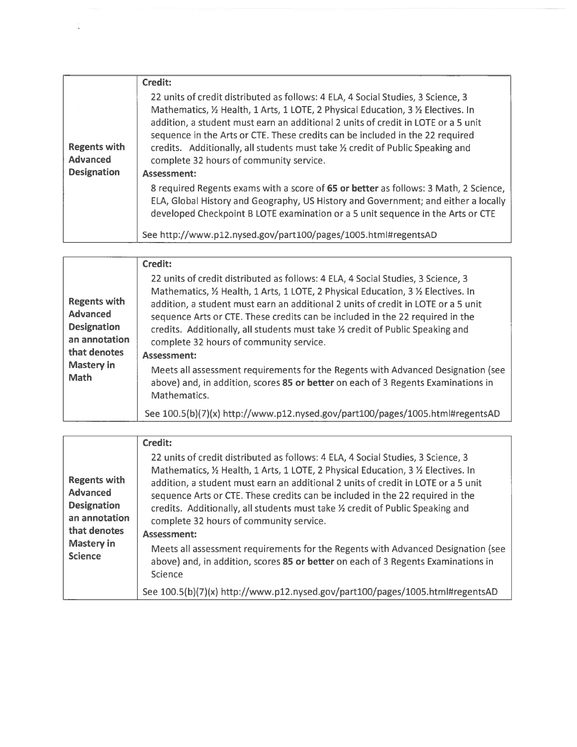|                                                              | Credit:                                                                                                                                                                                                                                                                                                                                                                                                                                                                                   |
|--------------------------------------------------------------|-------------------------------------------------------------------------------------------------------------------------------------------------------------------------------------------------------------------------------------------------------------------------------------------------------------------------------------------------------------------------------------------------------------------------------------------------------------------------------------------|
| <b>Regents with</b><br><b>Advanced</b><br><b>Designation</b> | 22 units of credit distributed as follows: 4 ELA, 4 Social Studies, 3 Science, 3<br>Mathematics, 1/2 Health, 1 Arts, 1 LOTE, 2 Physical Education, 3 1/2 Electives. In<br>addition, a student must earn an additional 2 units of credit in LOTE or a 5 unit<br>sequence in the Arts or CTE. These credits can be included in the 22 required<br>credits. Additionally, all students must take 1/2 credit of Public Speaking and<br>complete 32 hours of community service.<br>Assessment: |
|                                                              | 8 required Regents exams with a score of 65 or better as follows: 3 Math, 2 Science,<br>ELA, Global History and Geography, US History and Government; and either a locally<br>developed Checkpoint B LOTE examination or a 5 unit sequence in the Arts or CTE<br>See http://www.p12.nysed.gov/part100/pages/1005.html#regentsAD                                                                                                                                                           |

Ļ

| <b>Regents with</b><br><b>Advanced</b><br><b>Designation</b><br>an annotation<br>that denotes<br><b>Mastery in</b><br><b>Math</b> | Credit:<br>22 units of credit distributed as follows: 4 ELA, 4 Social Studies, 3 Science, 3<br>Mathematics, 1/2 Health, 1 Arts, 1 LOTE, 2 Physical Education, 3 1/2 Electives. In<br>addition, a student must earn an additional 2 units of credit in LOTE or a 5 unit<br>sequence Arts or CTE. These credits can be included in the 22 required in the<br>credits. Additionally, all students must take 1/2 credit of Public Speaking and<br>complete 32 hours of community service.<br>Assessment:<br>Meets all assessment requirements for the Regents with Advanced Designation (see<br>above) and, in addition, scores 85 or better on each of 3 Regents Examinations in |
|-----------------------------------------------------------------------------------------------------------------------------------|-------------------------------------------------------------------------------------------------------------------------------------------------------------------------------------------------------------------------------------------------------------------------------------------------------------------------------------------------------------------------------------------------------------------------------------------------------------------------------------------------------------------------------------------------------------------------------------------------------------------------------------------------------------------------------|
|                                                                                                                                   | Mathematics.                                                                                                                                                                                                                                                                                                                                                                                                                                                                                                                                                                                                                                                                  |
|                                                                                                                                   | See 100.5(b)(7)(x) http://www.p12.nysed.gov/part100/pages/1005.html#regentsAD                                                                                                                                                                                                                                                                                                                                                                                                                                                                                                                                                                                                 |

| <b>Regents with</b><br><b>Advanced</b><br><b>Designation</b><br>an annotation<br>that denotes<br><b>Mastery in</b><br><b>Science</b> | Credit:<br>22 units of credit distributed as follows: 4 ELA, 4 Social Studies, 3 Science, 3<br>Mathematics, 1/2 Health, 1 Arts, 1 LOTE, 2 Physical Education, 3 1/2 Electives. In<br>addition, a student must earn an additional 2 units of credit in LOTE or a 5 unit<br>sequence Arts or CTE. These credits can be included in the 22 required in the<br>credits. Additionally, all students must take 1/2 credit of Public Speaking and<br>complete 32 hours of community service.<br>Assessment:<br>Meets all assessment requirements for the Regents with Advanced Designation (see<br>above) and, in addition, scores 85 or better on each of 3 Regents Examinations in |
|--------------------------------------------------------------------------------------------------------------------------------------|-------------------------------------------------------------------------------------------------------------------------------------------------------------------------------------------------------------------------------------------------------------------------------------------------------------------------------------------------------------------------------------------------------------------------------------------------------------------------------------------------------------------------------------------------------------------------------------------------------------------------------------------------------------------------------|
|                                                                                                                                      | Science                                                                                                                                                                                                                                                                                                                                                                                                                                                                                                                                                                                                                                                                       |
|                                                                                                                                      | See 100.5(b)(7)(x) http://www.p12.nysed.gov/part100/pages/1005.html#regentsAD                                                                                                                                                                                                                                                                                                                                                                                                                                                                                                                                                                                                 |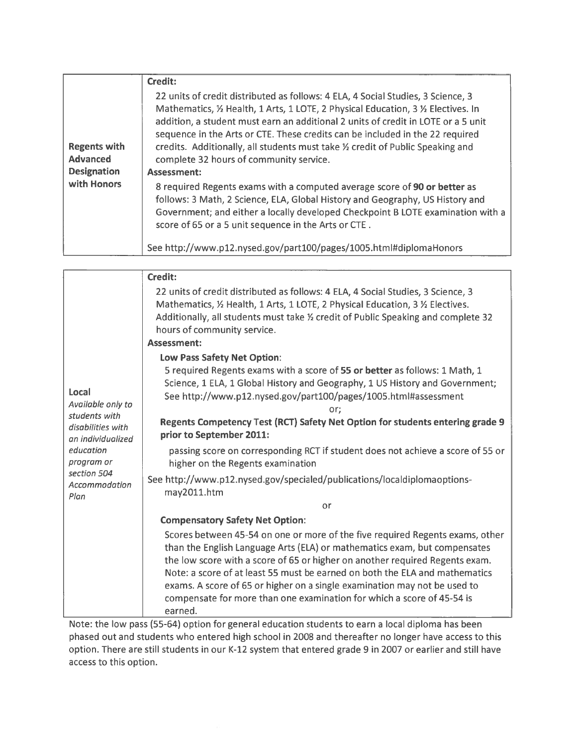|                                        | Credit:                                                                                                                                                                                                                                                                                                                                                                                                                                                                    |
|----------------------------------------|----------------------------------------------------------------------------------------------------------------------------------------------------------------------------------------------------------------------------------------------------------------------------------------------------------------------------------------------------------------------------------------------------------------------------------------------------------------------------|
| <b>Regents with</b><br><b>Advanced</b> | 22 units of credit distributed as follows: 4 ELA, 4 Social Studies, 3 Science, 3<br>Mathematics, 1/2 Health, 1 Arts, 1 LOTE, 2 Physical Education, 3 1/2 Electives. In<br>addition, a student must earn an additional 2 units of credit in LOTE or a 5 unit<br>sequence in the Arts or CTE. These credits can be included in the 22 required<br>credits. Additionally, all students must take 1/2 credit of Public Speaking and<br>complete 32 hours of community service. |
| <b>Designation</b>                     | Assessment:                                                                                                                                                                                                                                                                                                                                                                                                                                                                |
| with Honors                            | 8 required Regents exams with a computed average score of 90 or better as<br>follows: 3 Math, 2 Science, ELA, Global History and Geography, US History and<br>Government; and either a locally developed Checkpoint B LOTE examination with a<br>score of 65 or a 5 unit sequence in the Arts or CTE.                                                                                                                                                                      |
|                                        | See http://www.p12.nysed.gov/part100/pages/1005.html#diplomaHonors                                                                                                                                                                                                                                                                                                                                                                                                         |

|                                                                                                                                                  | Credit:                                                                                                                                                                                                                                                                                                                                                                                                                                                                                                                                                                               |
|--------------------------------------------------------------------------------------------------------------------------------------------------|---------------------------------------------------------------------------------------------------------------------------------------------------------------------------------------------------------------------------------------------------------------------------------------------------------------------------------------------------------------------------------------------------------------------------------------------------------------------------------------------------------------------------------------------------------------------------------------|
|                                                                                                                                                  | 22 units of credit distributed as follows: 4 ELA, 4 Social Studies, 3 Science, 3<br>Mathematics, 1/2 Health, 1 Arts, 1 LOTE, 2 Physical Education, 3 1/2 Electives.<br>Additionally, all students must take 1/2 credit of Public Speaking and complete 32<br>hours of community service.                                                                                                                                                                                                                                                                                              |
|                                                                                                                                                  | Assessment:                                                                                                                                                                                                                                                                                                                                                                                                                                                                                                                                                                           |
| Local<br>Available only to<br>students with<br>disabilities with<br>an individualized<br>education<br>program or<br>section 504<br>Accommodation | Low Pass Safety Net Option:<br>5 required Regents exams with a score of 55 or better as follows: 1 Math, 1<br>Science, 1 ELA, 1 Global History and Geography, 1 US History and Government;<br>See http://www.p12.nysed.gov/part100/pages/1005.html#assessment<br>or:<br>Regents Competency Test (RCT) Safety Net Option for students entering grade 9<br>prior to September 2011:<br>passing score on corresponding RCT if student does not achieve a score of 55 or<br>higher on the Regents examination<br>See http://www.p12.nysed.gov/specialed/publications/localdiplomaoptions- |
| Plan                                                                                                                                             | may2011.htm<br>or                                                                                                                                                                                                                                                                                                                                                                                                                                                                                                                                                                     |
|                                                                                                                                                  | <b>Compensatory Safety Net Option:</b>                                                                                                                                                                                                                                                                                                                                                                                                                                                                                                                                                |
|                                                                                                                                                  | Scores between 45-54 on one or more of the five required Regents exams, other<br>than the English Language Arts (ELA) or mathematics exam, but compensates<br>the low score with a score of 65 or higher on another required Regents exam.<br>Note: a score of at least 55 must be earned on both the ELA and mathematics<br>exams. A score of 65 or higher on a single examination may not be used to<br>compensate for more than one examination for which a score of 45-54 is<br>earned.                                                                                           |

Note: the low pass (55-64) option for general education students to earn <sup>a</sup> local diploma has been phased out and students who entered high school in 2008 and thereafter no longer have access to this option. There are still students in our K-12 system that entered grade 9 in 2007 or earlier and still have access to this option.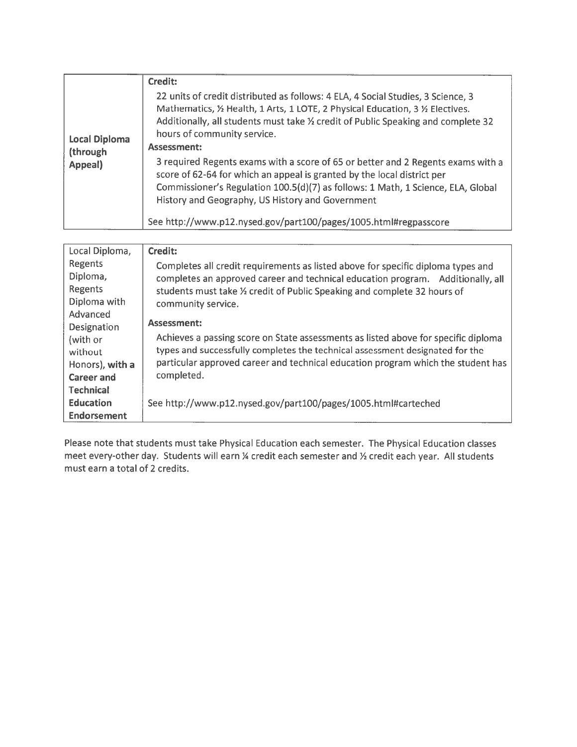|                                             | Credit:                                                                                                                                                                                                                                                                                                           |
|---------------------------------------------|-------------------------------------------------------------------------------------------------------------------------------------------------------------------------------------------------------------------------------------------------------------------------------------------------------------------|
| <b>Local Diploma</b><br>(through<br>Appeal) | 22 units of credit distributed as follows: 4 ELA, 4 Social Studies, 3 Science, 3<br>Mathematics, 1/2 Health, 1 Arts, 1 LOTE, 2 Physical Education, 3 1/2 Electives.<br>Additionally, all students must take $\frac{1}{2}$ credit of Public Speaking and complete 32<br>hours of community service.<br>Assessment: |
|                                             | 3 required Regents exams with a score of 65 or better and 2 Regents exams with a<br>score of 62-64 for which an appeal is granted by the local district per<br>Commissioner's Regulation 100.5(d)(7) as follows: 1 Math, 1 Science, ELA, Global<br>History and Geography, US History and Government               |
|                                             | See http://www.p12.nysed.gov/part100/pages/1005.html#regpasscore                                                                                                                                                                                                                                                  |

| Local Diploma,     | <b>Credit:</b>                                                                     |
|--------------------|------------------------------------------------------------------------------------|
| Regents            | Completes all credit requirements as listed above for specific diploma types and   |
| Diploma,           | completes an approved career and technical education program. Additionally, all    |
| Regents            | students must take 1/2 credit of Public Speaking and complete 32 hours of          |
| Diploma with       | community service.                                                                 |
| Advanced           |                                                                                    |
| Designation        | Assessment:                                                                        |
| (with or           | Achieves a passing score on State assessments as listed above for specific diploma |
| without            | types and successfully completes the technical assessment designated for the       |
| Honors), with a    | particular approved career and technical education program which the student has   |
| <b>Career and</b>  | completed.                                                                         |
| <b>Technical</b>   |                                                                                    |
| <b>Education</b>   | See http://www.p12.nysed.gov/part100/pages/1005.html#carteched                     |
| <b>Endorsement</b> |                                                                                    |

Please note that students must take Physical Education each semester. The Physical Education classes meet every-other day. Students will earn % credit each semester and % credit each year. All students must earn <sup>a</sup> total of 2 credits.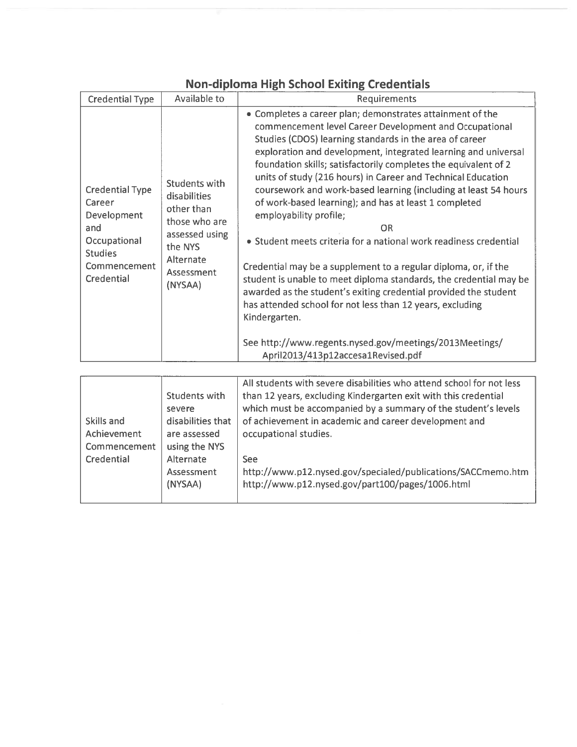| <b>Credential Type</b>                                                                                                 | Available to                                                                                                                    | Requirements                                                                                                                                                                                                                                                                                                                                                                                                                                                                                                                                                                                                                                                                                                                                                                                                                                                                                                                                                                                                            |
|------------------------------------------------------------------------------------------------------------------------|---------------------------------------------------------------------------------------------------------------------------------|-------------------------------------------------------------------------------------------------------------------------------------------------------------------------------------------------------------------------------------------------------------------------------------------------------------------------------------------------------------------------------------------------------------------------------------------------------------------------------------------------------------------------------------------------------------------------------------------------------------------------------------------------------------------------------------------------------------------------------------------------------------------------------------------------------------------------------------------------------------------------------------------------------------------------------------------------------------------------------------------------------------------------|
| <b>Credential Type</b><br>Career<br>Development<br>and<br>Occupational<br><b>Studies</b><br>Commencement<br>Credential | Students with<br>disabilities<br>other than<br>those who are<br>assessed using<br>the NYS<br>Alternate<br>Assessment<br>(NYSAA) | • Completes a career plan; demonstrates attainment of the<br>commencement level Career Development and Occupational<br>Studies (CDOS) learning standards in the area of career<br>exploration and development, integrated learning and universal<br>foundation skills; satisfactorily completes the equivalent of 2<br>units of study (216 hours) in Career and Technical Education<br>coursework and work-based learning (including at least 54 hours<br>of work-based learning); and has at least 1 completed<br>employability profile;<br><b>OR</b><br>• Student meets criteria for a national work readiness credential<br>Credential may be a supplement to a regular diploma, or, if the<br>student is unable to meet diploma standards, the credential may be<br>awarded as the student's exiting credential provided the student<br>has attended school for not less than 12 years, excluding<br>Kindergarten.<br>See http://www.regents.nysed.gov/meetings/2013Meetings/<br>April2013/413p12accesa1Revised.pdf |
|                                                                                                                        |                                                                                                                                 | All students with severe disabilities who attend school for not less                                                                                                                                                                                                                                                                                                                                                                                                                                                                                                                                                                                                                                                                                                                                                                                                                                                                                                                                                    |

# Non-diploma High School Exiting Credentials

|              |                   | All students with severe disabilities who attend school for not less |
|--------------|-------------------|----------------------------------------------------------------------|
|              | Students with     | than 12 years, excluding Kindergarten exit with this credential      |
|              | severe            | which must be accompanied by a summary of the student's levels       |
| Skills and   | disabilities that | of achievement in academic and career development and                |
| Achievement  | are assessed      | occupational studies.                                                |
| Commencement | using the NYS     |                                                                      |
| Credential   | Alternate         | See                                                                  |
|              | Assessment        | http://www.p12.nysed.gov/specialed/publications/SACCmemo.htm         |
|              | (NYSAA)           | http://www.p12.nysed.gov/part100/pages/1006.html                     |
|              |                   |                                                                      |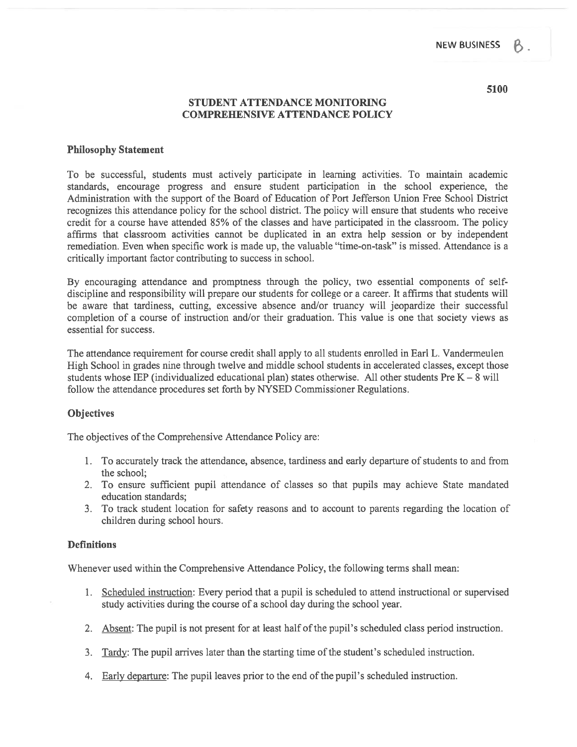#### 5100

#### STUDENT ATTENDANCE MONITORING COMPREHENSIVE ATTENDANCE POLICY

#### Philosophy Statement

To be successful, students must actively participate in learning activities. To maintain academic standards, encourage progress and ensure student participation in the school experience, the Administration with the suppor<sup>t</sup> of the Board of Education of Port Jefferson Union Free School District recognizes this attendance policy for the school district. The policy will ensure that students who receive credit for <sup>a</sup> course have attended 85% of the classes and have participated in the classroom. The policy affirms that classroom activities cannot be duplicated in an extra help session or by independent remediation. Even when specific work is made up, the valuable "time-on-task" is missed. Attendance is <sup>a</sup> critically important factor contributing to success in school.

By encouraging attendance and promptness through the policy, two essential components of selfdiscipline and responsibility will prepare our students for college or <sup>a</sup> career. It affirms that students will be aware that tardiness, cutting, excessive absence and/or truancy will jeopardize their successful completion of a course of instruction and/or their graduation. This value is one that society views as essential for success.

The attendance requirement for course credit shall apply to all students enrolled in Earl L. Vandermeulen High School in grades nine through twelve and middle school students in accelerated classes, excep<sup>t</sup> those students whose IEP (individualized educational plan) states otherwise. All other students Pre  $K - 8$  will follow the attendance procedures set forth by NYSED Commissioner Regulations.

#### **Objectives**

The objectives of the Comprehensive Attendance Policy are:

- 1. To accurately track the attendance, absence, tardiness and early departure of students to and from the school;
- 2. To ensure sufficient pupil attendance of classes so that pupils may achieve State mandated education standards;
- 3. To track student location for safety reasons and to account to parents regarding the location of children during school hours.

#### **Definitions**

Whenever used within the Comprehensive Attendance Policy, the following terms shall mean:

- 1. Scheduled instruction: Every period that <sup>a</sup> pupil is scheduled to attend instructional or supervised study activities during the course of <sup>a</sup> school day during the school year.
- 2. Absent: The pupil is not present for at least half of the pupil's scheduled class period instruction.
- 3. Tardy: The pupil arrives later than the starting time of the student's scheduled instruction.
- 4. Early departure: The pupil leaves prior to the end of the pupil's scheduled instruction.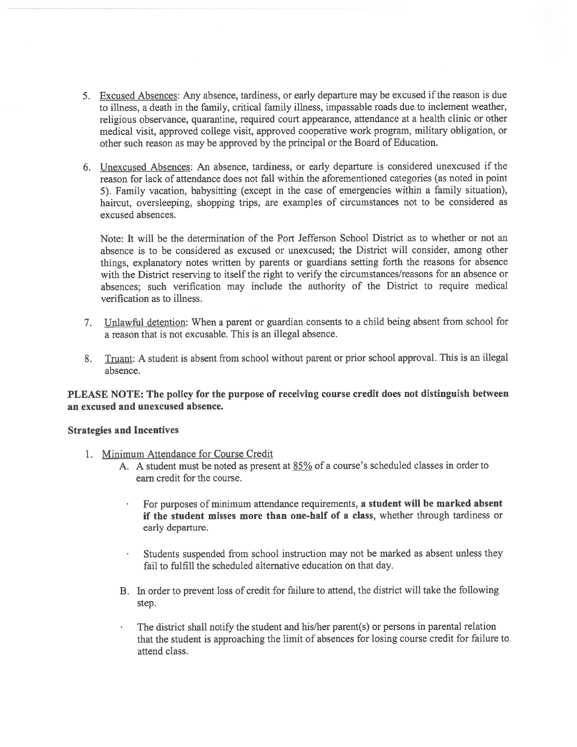- 5. Excused Absences: Any absence, tardiness, or early departure may be excused ifthe reason is due to illness, <sup>a</sup> death in the family, critical family illness, impassable roads due to inclement weather, religious observance, quarantine, required court appearance, attendance at <sup>a</sup> health clinic or other medical visit, approved college visit, approved cooperative work program, military obligation, or other such reason as may be approved by the principal or the Board of Education.
- 6. Unexcused Absences: An absence, tardiness, or early departure is considered unexcused if the reason for lack of attendance does not fall within the aforementioned categories (as noted in point 5). Family vacation, babysitting (except in the case of emergencies within <sup>a</sup> family situation), haircut, oversleeping, shopping trips, are examples of circumstances not to be considered as excused absences.

Note: It will be the determination of the Port Jefferson School District as to whether or not an absence is to be considered as excused or unexcused; the District will consider, among other things, explanatory notes written by parents or guardians setting forth the reasons for absence with the District reserving to itself the right to verify the circumstances/reasons for an absence or absences; such verification may include the authority of the District to require medical verification as to illness.

- 7. Unlawful detention: When <sup>a</sup> paren<sup>t</sup> or guardian consents to <sup>a</sup> child being absent from school for <sup>a</sup> reason that is not excusable. This is an illegal absence.
- 8. Truant: <sup>A</sup> student is absent from school without paren<sup>t</sup> or prior school approval. This is an illegal absence.

#### PLEASE NOTE: The policy for the purpose of receiving course credit does not distinguish between an excused and unexcused absence.

#### Strategies and Incentives

- 1. Minimum Attendance for Course Credit
	- A. A student must be noted as present at 85% of a course's scheduled classes in order to earn credit for the course.
		- For purposes of minimum attendance requirements, <sup>a</sup> student will be marked absent if the student misses more than one-half of <sup>a</sup> class, whether through tardiness or early departure.
		- $\bar{\star}$ Students suspended from school instruction may not be marked as absent unless they fail to fulfill the scheduled alternative education on that day.
	- B. In order to preven<sup>t</sup> loss of credit for failure to attend, the district will take the following step.
	- The district shall notify the student and his/her parent(s) or persons in parental relation that the student is approaching the limit of absences for losing course credit for failure to attend class.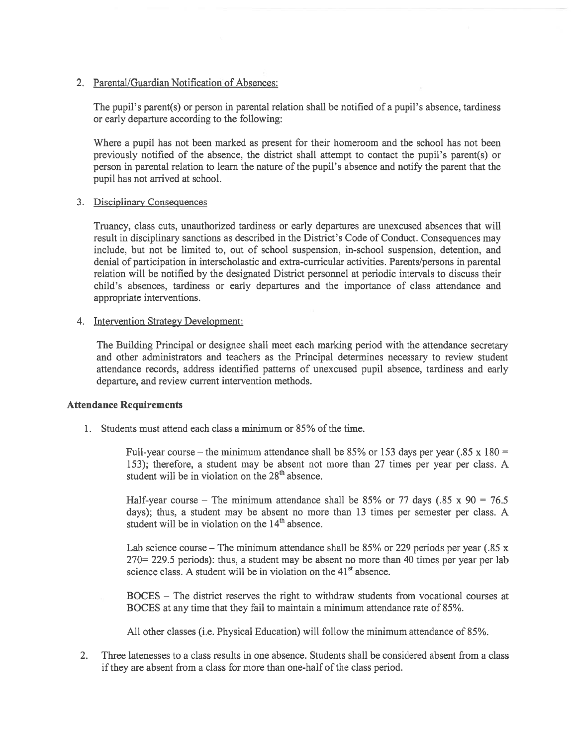#### 2. Parental/Guardian Notification of Absences:

The pupil's parent(s) or person in parental relation shall be notified of <sup>a</sup> pupil's absence, tardiness or early departure according to the following:

Where <sup>a</sup> pupil has not been marked as presen<sup>t</sup> for their homeroom and the school has not been previously notified of the absence, the district shall attempt to contact the pupil's parent(s) or person in parental relation to learn the nature of the pupil's absence and notify the parent that the pupil has not arrived at school.

#### 3. Disciplinary Consequences

Truancy, class cuts, unauthorized tardiness or early departures are unexcused absences that will result in disciplinary sanctions as described in the District's Code of Conduct. Consequences may include, but not be limited to, out of school suspension, in-school suspension, detention, and denial of participation in interscholastic and extra-curricular activities. Parents/persons in parental relation will be notified by the designated District personnel at periodic intervals to discuss their child's absences, tardiness or early departures and the importance of class attendance and appropriate interventions.

#### 4. Intervention Strategy Development:

The Building Principal or designee shall meet each marking period with the attendance secretary and other administrators and teachers as the Principal determines necessary to review student attendance records, address identified patterns of unexcused pupil absence, tardiness and early departure, and review current intervention methods.

#### Attendance Requirements

1. Students must attend each class <sup>a</sup> minimum or 85% of the time.

Full-year course – the minimum attendance shall be  $85\%$  or 153 days per year (.85 x 180 = 153); therefore, <sup>a</sup> student may be absent not more than 27 times per year per class. A student will be in violation on the  $28<sup>th</sup>$  absence.

Half-year course – The minimum attendance shall be 85% or 77 days (.85 x 90 = 76.5) days); thus, <sup>a</sup> student may be absent no more than 13 times per semester per class. A student will be in violation on the  $14<sup>th</sup>$  absence.

Lab science course – The minimum attendance shall be  $85\%$  or 229 periods per year (.85 x 270= 229.5 periods): thus, <sup>a</sup> student may be absent no more than 40 times per year per lab science class. A student will be in violation on the  $41<sup>st</sup>$  absence.

BOCES — The district reserves the right to withdraw students from vocational courses at BOCES at any time that they fail to maintain <sup>a</sup> minimum attendance rate of 85%.

All other classes (i.e. Physical Education) will follow the minimum attendance of 85%.

2. Three latenesses to <sup>a</sup> class results in one absence. Students shall be considered absent from <sup>a</sup> class if they are absent from a class for more than one-half of the class period.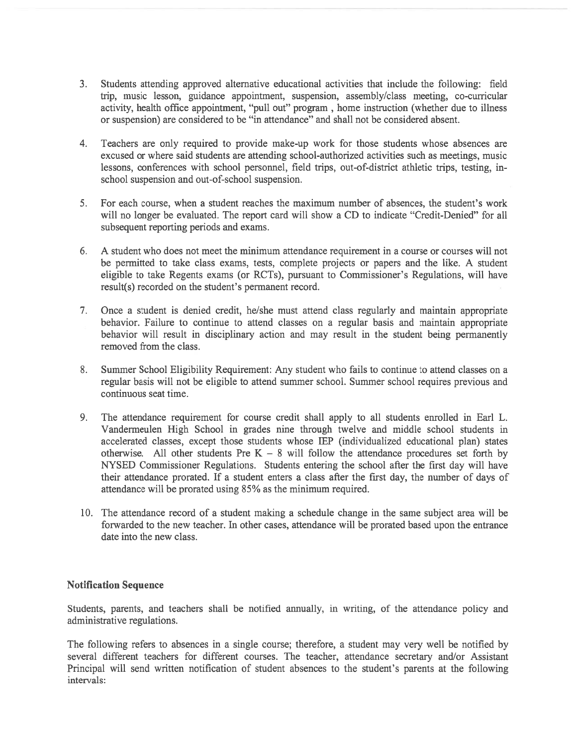- 3. Students attending approved alternative educational activities that include the following: field trip, music lesson, guidance appointment, suspension, assembly/class meeting, co-curricular activity, health office appointment, "pull out" program, home instruction (whether due to illness or suspension) are considered to be "in attendance" and shall not be considered absent.
- 4. Teachers are only required to provide make-up work for those students whose absences are excused or where said students are attending school-authorized activities such as meetings, music lessons, conferences with school personnel, field trips, out-of-district athletic trips, testing, inschool suspension and out-of-school suspension.
- 5. For each course, when <sup>a</sup> student reaches the maximum number of absences, the student's work will no longer be evaluated. The repor<sup>t</sup> card will show <sup>a</sup> CD to indicate "Credit-Denied" for all subsequent reporting periods and exams.
- 6. A student who does not meet the minimum attendance requirement in <sup>a</sup> course or courses will not be permitted to take class exams, tests, complete projects or papers and the like. A student eligible to take Regents exams (or RCTs), pursuan<sup>t</sup> to Commissioner's Regulations, will have result(s) recorded on the student's permanen<sup>t</sup> record.
- 7. Once <sup>a</sup> student is denied credit, he/she must attend class regularly and maintain appropriate behavior. Failure to continue to attend classes on <sup>a</sup> regular basis and maintain appropriate behavior will result in disciplinary action and may result in the student being permanently removed from the class.
- 8. Summer School Eligibility Requirement: Any student who fails to continue to attend classes on <sup>a</sup> regular basis will not be eligible to attend summer school. Summer school requires previous and continuous seat time.
- 9. The attendance requirement for course credit shall apply to all students enrolled in Earl L. Vandermeulen High School in grades nine through twelve and middle school students in accelerated classes, excep<sup>t</sup> those students whose IEP (individualized educational plan) states otherwise. All other students Pre K  $-$  8 will follow the attendance procedures set forth by NYSED Commissioner Regulations. Students entering the school after the first day will have their attendance prorated. If <sup>a</sup> student enters <sup>a</sup> class after the first day, the number of days of attendance will be prorated using 85% as the minimum required.
- 10. The attendance record of <sup>a</sup> student making <sup>a</sup> schedule change in the same subject area will be forwarded to the new teacher. In other cases, attendance will be prorated based upon the entrance date into the new class.

#### Notification Sequence

Students, parents, and teachers shall be notified annually, in writing, of the attendance policy and administrative regulations.

The following refers to absences in <sup>a</sup> single course; therefore, <sup>a</sup> student may very well be notified by several different teachers for different courses. The teacher, attendance secretary and/or Assistant Principal will send written notification of student absences to the student's parents at the following intervals: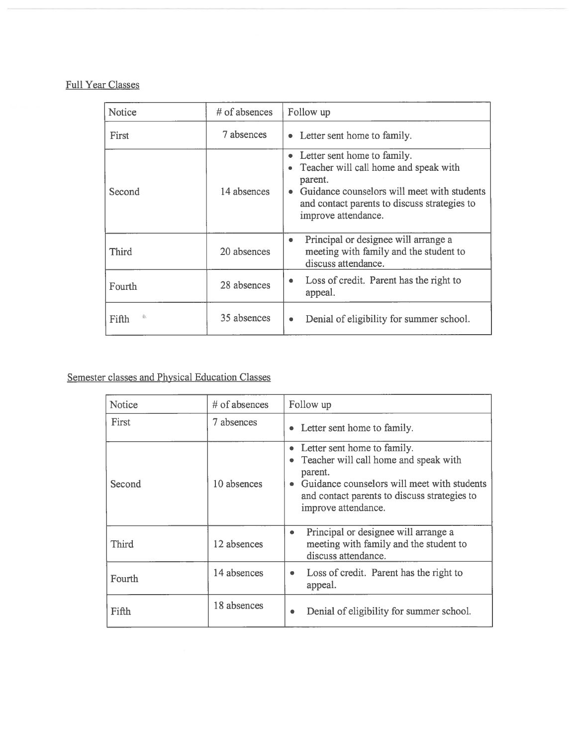# Full Year Classes

| Notice       | $#$ of absences | Follow up                                                                                                                                                                                             |
|--------------|-----------------|-------------------------------------------------------------------------------------------------------------------------------------------------------------------------------------------------------|
| First        | 7 absences      | • Letter sent home to family.                                                                                                                                                                         |
| Second       | 14 absences     | Letter sent home to family.<br>Teacher will call home and speak with<br>parent.<br>Guidance counselors will meet with students<br>and contact parents to discuss strategies to<br>improve attendance. |
| <b>Third</b> | 20 absences     | Principal or designee will arrange a<br>۰<br>meeting with family and the student to<br>discuss attendance.                                                                                            |
| Fourth       | 28 absences     | Loss of credit. Parent has the right to<br>appeal.                                                                                                                                                    |
| Fifth        | 35 absences     | Denial of eligibility for summer school.                                                                                                                                                              |

# Semester classes and Physical Education Classes

| Notice       | # of absences | Follow up                                                                                                                                                                                                 |
|--------------|---------------|-----------------------------------------------------------------------------------------------------------------------------------------------------------------------------------------------------------|
| First        | 7 absences    | • Letter sent home to family.                                                                                                                                                                             |
| Second       | 10 absences   | • Letter sent home to family.<br>• Teacher will call home and speak with<br>parent.<br>Guidance counselors will meet with students<br>and contact parents to discuss strategies to<br>improve attendance. |
| <b>Third</b> | 12 absences   | Principal or designee will arrange a<br>۰<br>meeting with family and the student to<br>discuss attendance.                                                                                                |
| Fourth       | 14 absences   | Loss of credit. Parent has the right to<br>appeal.                                                                                                                                                        |
| Fifth        | 18 absences   | Denial of eligibility for summer school.<br>۰                                                                                                                                                             |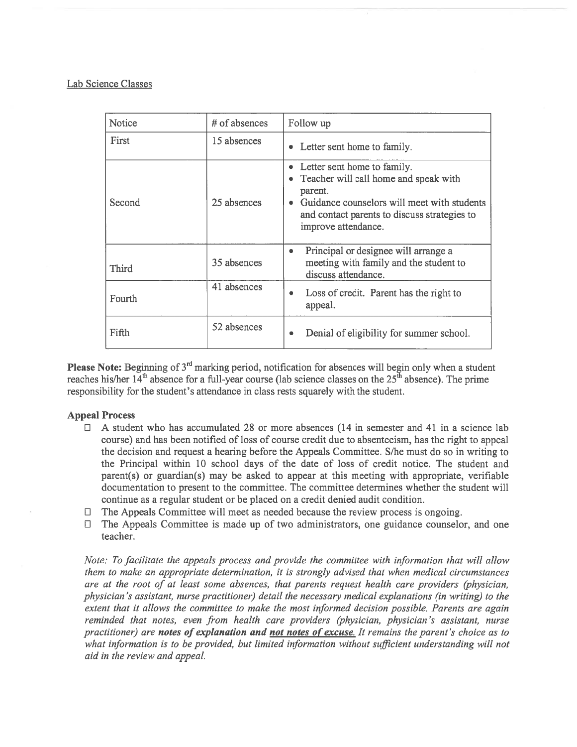### Lab Science Classes

| Notice | $#$ of absences | Follow up                                                                                                                                                                                             |
|--------|-----------------|-------------------------------------------------------------------------------------------------------------------------------------------------------------------------------------------------------|
| First  | 15 absences     | • Letter sent home to family.                                                                                                                                                                         |
| Second | 25 absences     | Letter sent home to family.<br>Teacher will call home and speak with<br>parent.<br>Guidance counselors will meet with students<br>and contact parents to discuss strategies to<br>improve attendance. |
| Third  | 35 absences     | Principal or designee will arrange a<br>۰<br>meeting with family and the student to<br>discuss attendance.                                                                                            |
| Fourth | 41 absences     | Loss of credit. Parent has the right to<br>٠<br>appeal.                                                                                                                                               |
| Fifth  | 52 absences     | Denial of eligibility for summer school.                                                                                                                                                              |

**Please Note:** Beginning of  $3<sup>rd</sup>$  marking period, notification for absences will begin only when a student reaches his/her  $14<sup>th</sup>$  absence for a full-year course (lab science classes on the  $25<sup>th</sup>$  absence). The prime responsibility for the student's attendance in class rests squarely with the student.

#### Appeal Process

- $\Box$  A student who has accumulated 28 or more absences (14 in semester and 41 in a science lab course) and has been notified of loss of course credit due to absenteeism, has the right to appeal the decision and reques<sup>t</sup> <sup>a</sup> hearing before the Appeals Committee. S/he must do so in writing to the Principal within 10 school days of the date of loss of credit notice. The student and parent(s) or guardian(s) may be asked to appear at this meeting with appropriate, verifiable documentation to presen<sup>t</sup> to the committee. The committee determines whether the student will continue as <sup>a</sup> regular student or be placed on <sup>a</sup> credit denied audit condition.
- The Appeals Committee will meet as needed because the review process is ongoing.  $\Box$
- $\Box$  The Appeals Committee is made up of two administrators, one guidance counselor, and one teacher.

Note: To facilitate the appeals process and provide the committee with information that will allow them to make an appropriate determination, it is strongly advised that when medical circumstances are at the root of at least some absences, that parents reques<sup>t</sup> health care providers (physician, physician 's assistant, nurse practitioner) detail the necessary medical explanations (in writing) to the extent that it allows the committee to make the most informed decision possible. Parents are again reminded that notes, even from health care providers (physician, physician 's assistant, nurse practitioner) are notes of explanation and not notes of excuse. It remains the parent's choice as to what information is to be provided, but limited information without sufficient understanding will not aid in the review and appeal.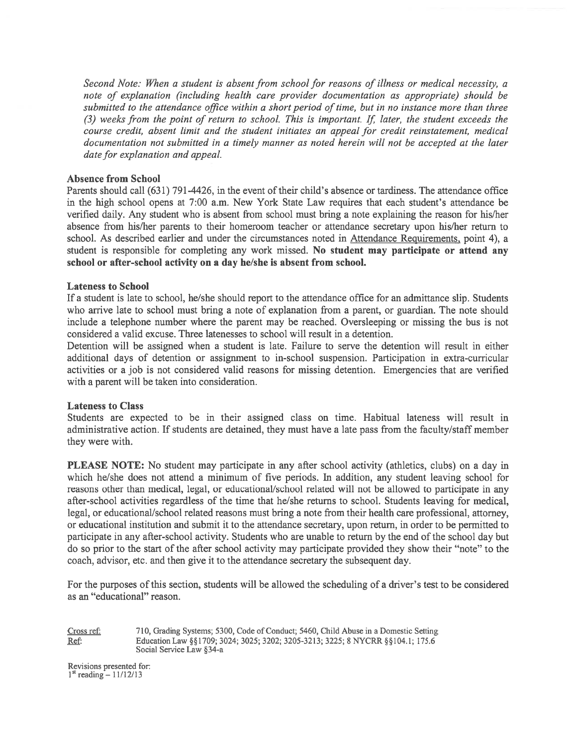Second Note: When a student is absent from school for reasons of illness or medical necessity, a note of explanation (including health care provider documentation as appropriate) should be submitted to the attendance office within a short period of time, but in no instance more than three (3) weeks from the point of return to school. This is important. If later, the student exceeds the course credit, absent limit and the student initiates an appeal for credit reinstatement, medical documentation not submitted in <sup>a</sup> timely manner as noted herein will not be accepted at the later date for explanation and appeal.

#### Absence from School

Parents should call (631) 791-4426, in the event of their child's absence or tardiness. The attendance office in the high school opens at 7:00 a.m. New York State Law requires that each student's attendance be verified daily. Any student who is absent from school must bring <sup>a</sup> note explaining the reason for his/her absence from his/her parents to their homeroom teacher or attendance secretary upon his/her return to school. As described earlier and under the circumstances noted in Attendance Requirements, point 4), a student is responsible for completing any work missed. No student may participate or attend any school or after-school activity on <sup>a</sup> day he/she is absent from school.

#### Lateness to School

If <sup>a</sup> student is late to school, he/she should repor<sup>t</sup> to the attendance office for an admittance slip. Students who arrive late to school must bring <sup>a</sup> note of explanation from <sup>a</sup> parent, or guardian. The note should include <sup>a</sup> telephone number where the paren<sup>t</sup> may be reached. Oversleeping or missing the bus is not considered <sup>a</sup> valid excuse. Three latenesses to school will result in <sup>a</sup> detention.

Detention will be assigned when <sup>a</sup> student is late. Failure to serve the detention will result in either additional days of detention or assignment to in-school suspension. Participation in extra-curricular activities or <sup>a</sup> job is not considered valid reasons for missing detention. Emergencies that are verified with <sup>a</sup> paren<sup>t</sup> will be taken into consideration.

#### Lateness to Class

Students are expected to be in their assigned class on time. Habitual lateness will result in administrative action. If students are detained, they must have <sup>a</sup> late pass from the faculty/staff member they were with.

PLEASE NOTE: No student may participate in any after school activity (athletics, clubs) on <sup>a</sup> day in which he/she does not attend <sup>a</sup> minimum of five periods. In addition, any student leaving school for reasons other than medical, legal, or educational/school related will not be allowed to participate in any after-school activities regardless of the time that he/she returns to school. Students leaving for medical, legal, or educational/school related reasons must bring <sup>a</sup> note from their health care professional, attorney, or educational institution and submit it to the attendance secretary, upon return, in order to be permitted to participate in any after-school activity. Students who are unable to return by the end of the school day but do so prior to the start of the after school activity may participate provided they show their "note" to the coach, advisor, etc. and then give it to the attendance secretary the subsequent day.

For the purposes of this section, students will be allowed the scheduling of <sup>a</sup> driver's test to be considered as an "educational" reason.

Cross ref: 710, Grading Systems; 5300, Code of Conduct; 5460, Child Abuse in <sup>a</sup> Domestic Setting Ref: Education Law §§1709; 3024; 3025; 3202; 3205-3213; 3225; 8 NYCRR §§104.1; 175.6 Social Service Law §34-a

Revisions presented for:<br> $1<sup>st</sup>$  reading - 11/12/13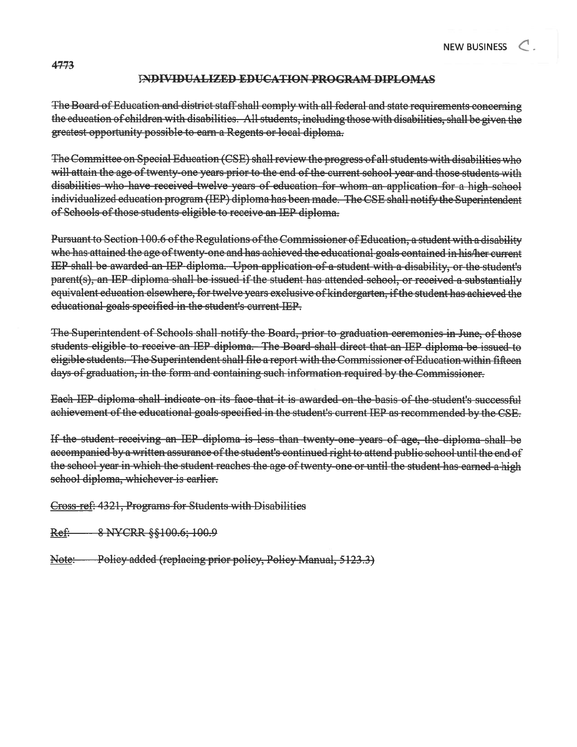### JNJMVIDUALIZED EDUCATION PROCRAM DIPLOMAS

The Board of Education and district staff shall comply with all federal and state requirements concerning the education of children with disabilities. All students, including those with disabilities, shall be <sup>g</sup>iven the greatest opportunity possible to earn <sup>a</sup> Regents or local diploma.

The Committee on Special Education (CSE) shall review the progress of all students with disabilities who will attain the age of twenty-one years prior to the end of the current school year and those students with disabilities who have received twelve years of education for whom an application for <sup>a</sup> high school individualized education program (IEP) diploma has been made. The CSE shall notify the Superintendent of Schools of those students eligible to receive an IEP diploma.

Pursuant to Section 100.6 of the Regulations of the Commissioner of Education, a student with a disability who has attained the age of twenty-one and has achieved the educational goals contained in his/her current IEP shall be awarded an IEP diploma. Upon application of <sup>a</sup> student with <sup>a</sup> disability, or the student's parent(s), an JEP diploma shall be issued if the student has attended school, or received <sup>a</sup> substantially equivalent education elsewhere, for twelve years exclusive of kindergarten, if the student has achieved the educational goals specified in the student's eurrent IEP.

The Superintendent of Schools shall notify the Board, prior to graduation ceremonies in June, of those students eligible to receive an IEP diploma. The Board shall direct that an IEP diploma be issued to eligible students. The Superintendent shall file a report with the Commissioner of Education within fifteen days of graduation, in the form and containing such information required by the Commissioner.

Each IEP diploma shall indicate on its face that it is awarded on the basis of the student's successful achievement of the educational goals specified in the student's current IEP as recommended by the CSE.

If the student receiving an IEP diploma is less than twenty one years of age, the diploma shall be accompanied by a written assurance of the student's continued right to attend public school until the end of the school year in which the student reaches the age of twenty-one or until the student has earned a high school diploma, whichever is earlier.

Cross ref: 4321, Programs for Students with Disabilities

Ref: 8 NYCRR §§100.6; 100.9

Note: Policy added (replacing prior policy, Policy Manual, 5123.3)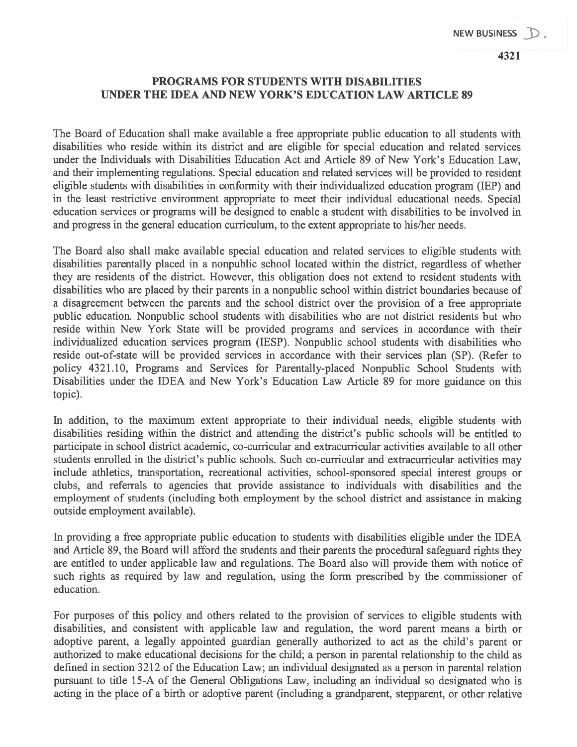# PROGRAMS FOR STUDENTS WITH DISABILITIES UNDER THE IDEA AND NEW YORK'S EDUCATION LAW ARTICLE 89

The Board of Education shall make available <sup>a</sup> free appropriate public education to all students with disabilities who reside within its district and are eligible for special education and related services under the Individuals with Disabilities Education Act and Article 89 of New York's Education Law, and their implementing regulations. Special education and related services will be provided to resident eligible students with disabilities in conformity with their individualized education program (IEP) and in the least restrictive environment appropriate to meet their individual educational needs. Special education services or programs will be designed to enable <sup>a</sup> student with disabilities to be involved in and progress in the general education curriculum, to the extent appropriate to his/her needs.

The Board also shall make available special education and related services to eligible students with disabilities parentally placed in <sup>a</sup> nonpublic school located within the district, regardless of whether they are residents of the district. However, this obligation does not extend to resident students with disabilities who are placed by their parents in <sup>a</sup> nonpublic school within district boundaries because of <sup>a</sup> disagreement between the parents and the school district over the provision of <sup>a</sup> free appropriate public education. Nonpublic school students with disabilities who are not district residents but who reside within New York State will be provided programs and services in accordance with their individualized education services program (IESP). Nonpublic school students with disabilities who reside out-of-state will be provided services in accordance with their services plan (SP). (Refer to policy 4321.10, Programs and Services for Parentally-placed Nonpublic School Students with Disabilities under the IDEA and New York's Education Law Article 89 for more guidance on this topic).

In addition, to the maximum extent appropriate to their individual needs, eligible students with disabilities residing within the district and attending the district's public schools will be entitled to participate in school district academic, co-curricular and extracurricular activities available to all other students enrolled in the district's public schools. Such co-curricular and extracurricular activities may include athletics, transportation, recreational activities, school-sponsored special interest groups or clubs, and referrals to agencies that provide assistance to individuals with disabilities and the employment of students (including both employment by the school district and assistance in making outside employment available).

In providing <sup>a</sup> free appropriate public education to students with disabilities eligible under the IDEA and Article 89, the Board will afford the students and their parents the procedural safeguard rights they are entitled to under applicable law and regulations. The Board also will provide them with notice of such rights as required by law and regulation, using the form prescribed by the commissioner of education.

For purposes of this policy and others related to the provision of services to eligible students with disabilities, and consistent with applicable law and regulation, the word paren<sup>t</sup> means <sup>a</sup> birth or adoptive parent, <sup>a</sup> legally appointed guardian generally authorized to act as the child's paren<sup>t</sup> or authorized to make educational decisions for the child; <sup>a</sup> person in parental relationship to the child as defined in section 3212 of the Education Law; an individual designated as <sup>a</sup> person in parental relation pursuan<sup>t</sup> to title 15-A of the General Obligations Law, including an individual so designated who is acting in the place of <sup>a</sup> birth or adoptive paren<sup>t</sup> (including <sup>a</sup> grandparent, stepparent, or other relative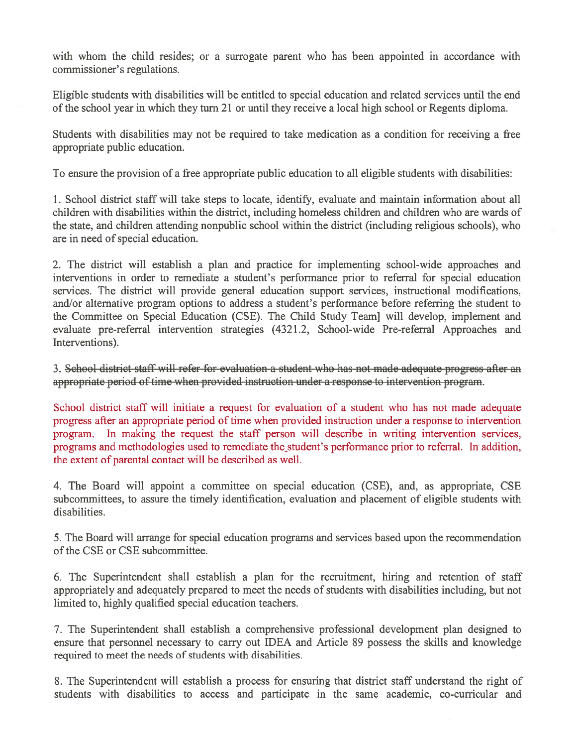with whom the child resides; or a surrogate parent who has been appointed in accordance with commissioner's regulations.

Eligible students with disabilities will be entitled to special education and related services until the end of the school year in which they turn 21 or until they receive <sup>a</sup> local high school or Regents diploma.

Students with disabilities may not be required to take medication as <sup>a</sup> condition for receiving <sup>a</sup> free appropriate public education.

To ensure the provision of <sup>a</sup> free appropriate public education to all eligible students with disabilities:

1. School district staff will take steps to locate, identify, evaluate and maintain information about all children with disabilities within the district, including homeless children and children who are wards of the state, and children attending nonpublic school within the district (including religious schools), who are in need of special education.

2. The district will establish <sup>a</sup> plan and practice for implementing school-wide approaches and interventions in order to remediate <sup>a</sup> student's performance prior to referral for special education services. The district will provide general education suppor<sup>t</sup> services, instructional modifications, and/or alternative program options to address <sup>a</sup> student's performance before referring the student to the Committee on Special Education (CSE). The Child Study Teamj will develop, implement and evaluate pre-referral intervention strategies (4321.2, School-wide Pre-referral Approaches and Interventions).

3. School district staff will refer for evaluation <sup>a</sup> student who has not made adequate progress after an appropriate period of time when provided instruction under <sup>a</sup> response to intervention program.

School district staff will initiate <sup>a</sup> reques<sup>t</sup> for evaluation of <sup>a</sup> student who has not made adequate progress after an appropriate period of time when provided instruction under <sup>a</sup> response to intervention program. In making the reques<sup>t</sup> the staff person will describe in writing intervention services, programs and methodologies used to remediate the student's performance prior to referral. In addition, the extent of parental contact will be described as well.

4. The Board will appoint <sup>a</sup> committee on special education (CSE), and, as appropriate, CSE subcommittees, to assure the timely identification, evaluation and placement of eligible students with disabilities.

5. The Board will arrange for special education programs and services based upon the recommendation of the CSE or CSE subcommittee.

6. The Superintendent shall establish <sup>a</sup> plan for the recruitment, hiring and retention of staff appropriately and adequately prepared to meet the needs of students with disabilities including, but not limited to, highly qualified special education teachers.

7. The Superintendent shall establish <sup>a</sup> comprehensive professional development plan designed to ensure that personnel necessary to carry out IDEA and Article 89 possess the skills and knowledge required to meet the needs of students with disabilities.

8. The Superintendent will establish <sup>a</sup> process for ensuring that district staff understand the right of students with disabilities to access and participate in the same academic, co-curricular and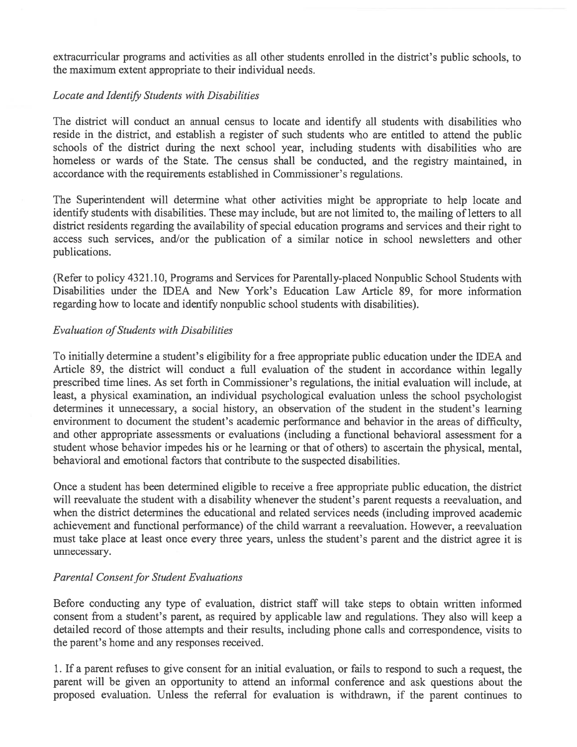extracurricular programs and activities as all other students enrolled in the district's public schools, to the maximum extent appropriate to their individual needs.

# Locate and Identify Students with Disabilities

The district will conduct an annual census to locate and identify all students with disabilities who reside in the district, and establish <sup>a</sup> register of such students who are entitled to attend the public schools of the district during the next school year, including students with disabilities who are homeless or wards of the State. The census shall be conducted, and the registry maintained, in accordance with the requirements established in Commissioner's regulations.

The Superintendent will determine what other activities might be appropriate to help locate and identify students with disabilities. These may include, but are not limited to, the mailing of letters to all district residents regarding the availability of special education programs and services and their right to access such services, and/or the publication of <sup>a</sup> similar notice in school newsletters and other publications.

(Refer to policy 4321.10, Programs and Services for Parentally-placed Nonpublic School Students with Disabilities under the IDEA and New York's Education Law Article 89, for more information regarding how to locate and identify nonpublic school students with disabilities).

# Evaluation of Students with Disabilities

To initially determine <sup>a</sup> student's eligibility for <sup>a</sup> free appropriate public education under the IDEA and Article 89, the district will conduct <sup>a</sup> full evaluation of the student in accordance within legally prescribed time lines. As set forth in Commissioner's regulations, the initial evaluation will include, at least, <sup>a</sup> physical examination, an individual psychological evaluation unless the school psychologist determines it unnecessary, a social history, an observation of the student in the student's learning environment to document the student's academic performance and behavior in the areas of difficulty, and other appropriate assessments or evaluations (including <sup>a</sup> functional behavioral assessment for <sup>a</sup> student whose behavior impedes his or he learning or that of others) to ascertain the physical, mental, behavioral and emotional factors that contribute to the suspected disabilities.

Once <sup>a</sup> student has been determined eligible to receive <sup>a</sup> free appropriate public education, the district will reevaluate the student with <sup>a</sup> disability whenever the student's paren<sup>t</sup> requests <sup>a</sup> reevaluation, and when the district determines the educational and related services needs (including improved academic achievement and functional performance) of the child warrant <sup>a</sup> reevaluation. However, <sup>a</sup> reevaluation must take place at least once every three years, unless the student's paren<sup>t</sup> and the district agree it is unnecessary.

# Parental Consent for Student Evaluations

Before conducting any type of evaluation, district staff will take steps to obtain written informed consent from <sup>a</sup> student's parent, as required by applicable law and regulations. They also will keep <sup>a</sup> detailed record of those attempts and their results, including phone calls and correspondence, visits to the parent's home and any responses received.

1. If <sup>a</sup> paren<sup>t</sup> refuses to give consent for an initial evaluation, or fails to respond to such <sup>a</sup> request, the paren<sup>t</sup> will be given an opportunity to attend an informal conference and ask questions about the proposed evaluation. Unless the referral for evaluation is withdrawn, if the paren<sup>t</sup> continues to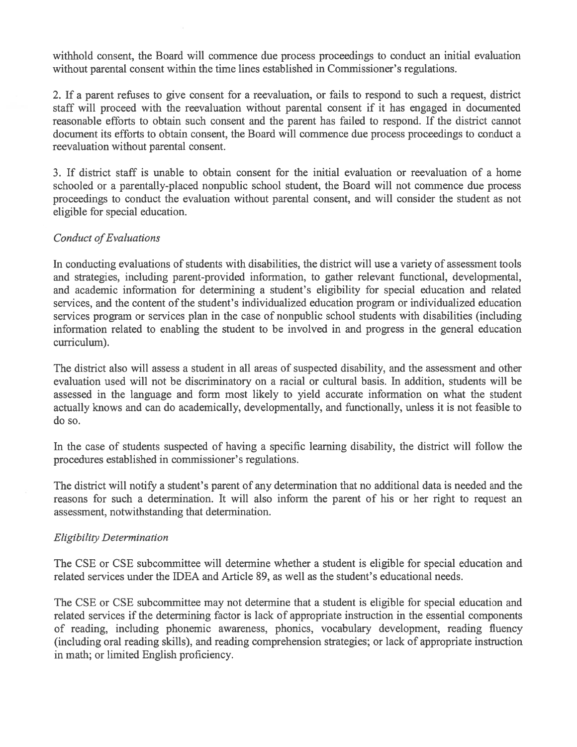withhold consent, the Board will commence due process proceedings to conduct an initial evaluation without parental consent within the time lines established in Commissioner's regulations.

2. If <sup>a</sup> paren<sup>t</sup> refuses to give consent for <sup>a</sup> reevaluation, or fails to respond to such <sup>a</sup> request, district staff will proceed with the reevaluation without parental consent if it has engaged in documented reasonable efforts to obtain such consent and the paren<sup>t</sup> has failed to respond. If the district cannot document its efforts to obtain consent, the Board will commence due process proceedings to conduct <sup>a</sup> reevaluation without parental consent.

3. If district staff is unable to obtain consent for the initial evaluation or reevaluation of <sup>a</sup> home schooled or <sup>a</sup> parentally-placed nonpublic school student, the Board will not commence due process proceedings to conduct the evaluation without parental consent, and will consider the student as not eligible for special education.

# Conduct of Evaluations

In conducting evaluations of students with disabilities, the district will use <sup>a</sup> variety of assessment tools and strategies, including parent-provided information, to gather relevant functional, developmental, and academic information for determining <sup>a</sup> student's eligibility for special education and related services, and the content of the student's individualized education program or individualized education services program or services plan in the case of nonpublic school students with disabilities (including information related to enabling the student to be involved in and progress in the general education curriculum).

The district also will assess <sup>a</sup> student in all areas of suspected disability, and the assessment and other evaluation used will not be discriminatory on <sup>a</sup> racial or cultural basis. In addition, students will be assessed in the language and form most likely to yield accurate information on what the student actually knows and can do academically, developmentally, and functionally, unless it is not feasible to do so.

In the case of students suspected of having <sup>a</sup> specific learning disability, the district will follow the procedures established in commissioner's regulations.

The district will notify <sup>a</sup> student's paren<sup>t</sup> of any determination that no additional data is needed and the reasons for such <sup>a</sup> determination. It will also inform the paren<sup>t</sup> of his or her right to reques<sup>t</sup> an assessment, notwithstanding that determination.

# Eligibility Determination

The CSE or CSE subcommittee will determine whether <sup>a</sup> student is eligible for special education and related services under the IDEA and Article 89, as well as the student's educational needs.

The CSE or CSE subcommittee may not determine that <sup>a</sup> student is eligible for special education and related services if the determining factor is lack of appropriate instruction in the essential components of reading, including phonemic awareness, phonics, vocabulary development, reading fluency (including oral reading skills), and reading comprehension strategies; or lack of appropriate instruction in math; or limited English proficiency.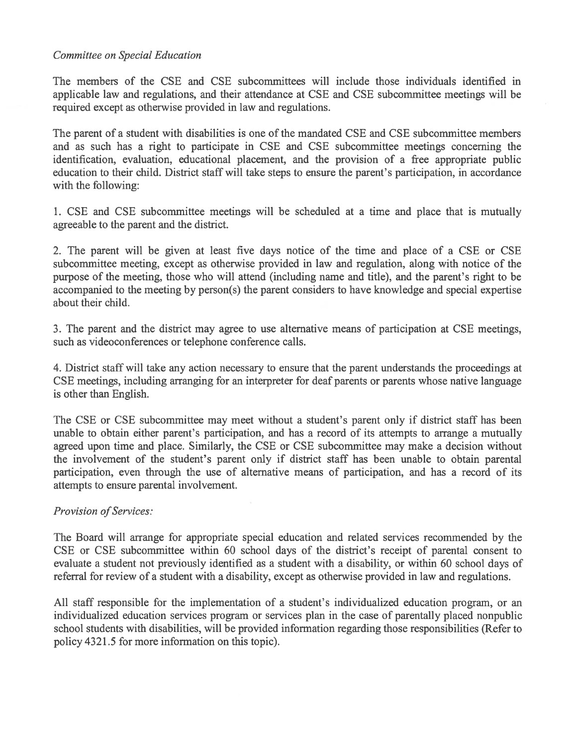# Committee on Special Education

The members of the CSE and CSE subcommittees will include those individuals identified in applicable law and regulations, and their attendance at CSE and CSE subcommittee meetings will be required excep<sup>t</sup> as otherwise provided in law and regulations.

The paren<sup>t</sup> of <sup>a</sup> student with disabilities is one of the mandated CSE and CSE subcommittee members and as such has <sup>a</sup> right to participate in CSE and CSE subcommittee meetings concerning the identification, evaluation, educational placement, and the provision of <sup>a</sup> free appropriate public education to their child. District staff will take steps to ensure the parent's participation, in accordance with the following:

1. CSE and CSE subcommittee meetings will be scheduled at <sup>a</sup> time and place that is mutually agreeable to the paren<sup>t</sup> and the district.

2. The paren<sup>t</sup> will be given at least five days notice of the time and place of <sup>a</sup> CSE or CSE subcommittee meeting, excep<sup>t</sup> as otherwise provided in law and regulation, along with notice of the purpose of the meeting, those who will attend (including name and title), and the parent's right to be accompanied to the meeting by person(s) the paren<sup>t</sup> considers to have knowledge and special expertise about their child.

3. The paren<sup>t</sup> and the district may agree to use alternative means of participation at CSE meetings, such as videoconferences or telephone conference calls.

4. District staff will take any action necessary to ensure that the paren<sup>t</sup> understands the proceedings at CSE meetings, including arranging for an interpreter for deaf parents or parents whose native language is other than English.

The CSE or CSE subcommittee may meet without <sup>a</sup> student's paren<sup>t</sup> only if district staff has been unable to obtain either parent's participation, and has <sup>a</sup> record of its attempts to arrange <sup>a</sup> mutually agreed upon time and place. Similarly, the CSE or CSE subcommittee may make <sup>a</sup> decision without the involvement of the student's paren<sup>t</sup> only if district staff has been unable to obtain parental participation, even through the use of alternative means of participation, and has <sup>a</sup> record of its attempts to ensure parental involvement.

# Provision of Services:

The Board will arrange for appropriate special education and related services recommended by the CSE or CSE subcommittee within 60 school days of the district's receipt of parental consent to evaluate <sup>a</sup> student not previously identified as <sup>a</sup> student with <sup>a</sup> disability, or within 60 school days of referral for review of <sup>a</sup> student with <sup>a</sup> disability, excep<sup>t</sup> as otherwise provided in law and regulations.

All staff responsible for the implementation of <sup>a</sup> student's individualized education program, or an individualized education services program or services plan in the case of parentally placed nonpublic school students with disabilities, will be provided information regarding those responsibilities (Refer to policy 4321.5 for more information on this topic).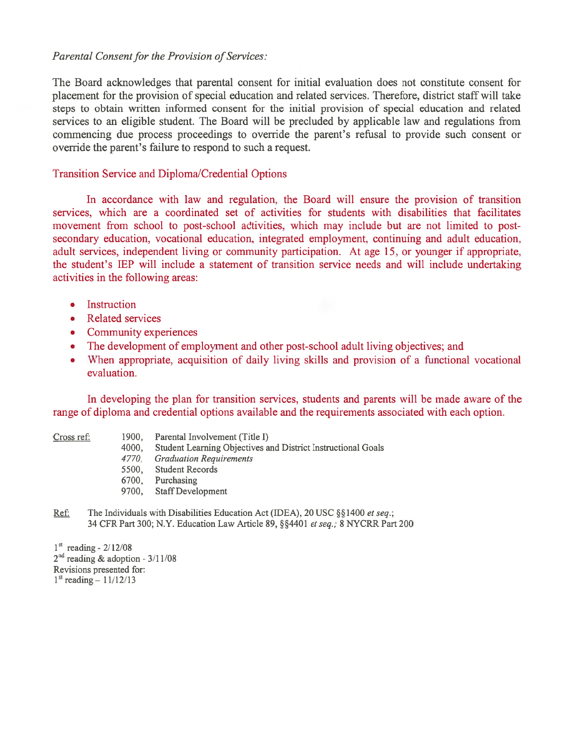## Parental Consent for the Provision of Services:

The Board acknowledges that parental consent for initial evaluation does not constitute consent for placement for the provision of special education and related services. Therefore, district staff will take steps to obtain written informed consent for the initial provision of special education and related services to an eligible student. The Board will be precluded by applicable law and regulations from commencing due process proceedings to override the parent's refusal to provide such consent or override the parent's failure to respond to such <sup>a</sup> request.

### Transition Service and Diploma/Credential Options

In accordance with law and regulation, the Board will ensure the provision of transition services, which are <sup>a</sup> coordinated set of activities for students with disabilities that facilitates movement from school to post-school adtivities, which may include but are not limited to postsecondary education, vocational education, integrated employment, continuing and adult education, adult services, independent living or community participation. At age 15, or younger if appropriate, the student's IEP will include <sup>a</sup> statement of transition service needs and will include undertaking activities in the following areas:

- •Instruction
- Related services
- Community experiences
- The development of employment and other post-school adult living objectives; and
- • When appropriate, acquisition of daily living skills and provision of <sup>a</sup> functional vocational evaluation.

In developing the plan for transition services, students and parents will be made aware of the range of diploma and credential options available and the requirements associated with each option.

- Cross ref: 1900, Parental Involvement (Title I)
	- 4000, Student Learning Objectives and District Instructional Goals
	- 4770. Graduation Requirements
	- 5500, Student Records
	- 6700, Purchasing
	- 9700, Staff Development
- Ref. The Individuals with Disabilities Education Act (IDEA), 20 USC §§1400 *et seq.*; 34 CFR Part 300; N.Y. Education Law Article 89, §§4401 et seq.; 8 NYCRR Part 200

 $1<sup>st</sup>$  reading -  $2/12/08$  $2<sup>nd</sup>$  reading & adoption - 3/11/08 Revisions presented for:  $1<sup>st</sup> reading - 11/12/13$